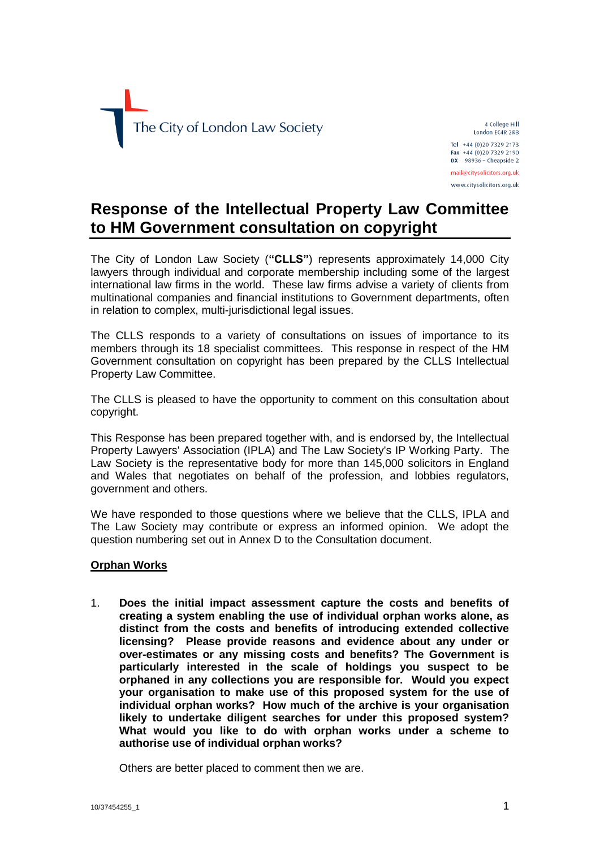

4 College Hill London EC4R 2RB Tel +44 (0)20 7329 2173 Fax +44 (0)20 7329 2190 DX  $98936 -$  Cheapside 2 mail@citvsolicitors.org.uk www.citysolicitors.org.uk

# **Response of the Intellectual Property Law Committee to HM Government consultation on copyright**

The City of London Law Society (**"CLLS"**) represents approximately 14,000 City lawyers through individual and corporate membership including some of the largest international law firms in the world. These law firms advise a variety of clients from multinational companies and financial institutions to Government departments, often in relation to complex, multi-jurisdictional legal issues.

The CLLS responds to a variety of consultations on issues of importance to its members through its 18 specialist committees. This response in respect of the HM Government consultation on copyright has been prepared by the CLLS Intellectual Property Law Committee.

The CLLS is pleased to have the opportunity to comment on this consultation about copyright.

This Response has been prepared together with, and is endorsed by, the Intellectual Property Lawyers' Association (IPLA) and The Law Society's IP Working Party. The Law Society is the representative body for more than 145,000 solicitors in England and Wales that negotiates on behalf of the profession, and lobbies regulators, government and others.

We have responded to those questions where we believe that the CLLS, IPLA and The Law Society may contribute or express an informed opinion. We adopt the question numbering set out in Annex D to the Consultation document.

# **Orphan Works**

1. **Does the initial impact assessment capture the costs and benefits of creating a system enabling the use of individual orphan works alone, as distinct from the costs and benefits of introducing extended collective licensing? Please provide reasons and evidence about any under or over-estimates or any missing costs and benefits? The Government is particularly interested in the scale of holdings you suspect to be orphaned in any collections you are responsible for. Would you expect your organisation to make use of this proposed system for the use of individual orphan works? How much of the archive is your organisation likely to undertake diligent searches for under this proposed system? What would you like to do with orphan works under a scheme to authorise use of individual orphan works?**

Others are better placed to comment then we are.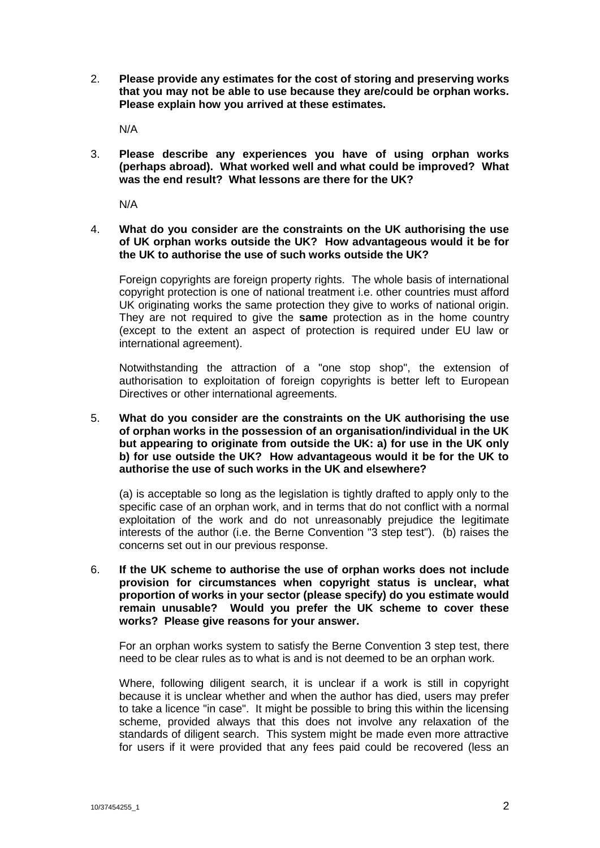2. **Please provide any estimates for the cost of storing and preserving works that you may not be able to use because they are/could be orphan works. Please explain how you arrived at these estimates.**

N/A

3. **Please describe any experiences you have of using orphan works (perhaps abroad). What worked well and what could be improved? What was the end result? What lessons are there for the UK?**

N/A

# 4. **What do you consider are the constraints on the UK authorising the use of UK orphan works outside the UK? How advantageous would it be for the UK to authorise the use of such works outside the UK?**

Foreign copyrights are foreign property rights. The whole basis of international copyright protection is one of national treatment i.e. other countries must afford UK originating works the same protection they give to works of national origin. They are not required to give the **same** protection as in the home country (except to the extent an aspect of protection is required under EU law or international agreement).

Notwithstanding the attraction of a "one stop shop", the extension of authorisation to exploitation of foreign copyrights is better left to European Directives or other international agreements.

# 5. **What do you consider are the constraints on the UK authorising the use of orphan works in the possession of an organisation/individual in the UK but appearing to originate from outside the UK: a) for use in the UK only b) for use outside the UK? How advantageous would it be for the UK to authorise the use of such works in the UK and elsewhere?**

(a) is acceptable so long as the legislation is tightly drafted to apply only to the specific case of an orphan work, and in terms that do not conflict with a normal exploitation of the work and do not unreasonably prejudice the legitimate interests of the author (i.e. the Berne Convention "3 step test"). (b) raises the concerns set out in our previous response.

6. **If the UK scheme to authorise the use of orphan works does not include provision for circumstances when copyright status is unclear, what proportion of works in your sector (please specify) do you estimate would remain unusable? Would you prefer the UK scheme to cover these works? Please give reasons for your answer.**

For an orphan works system to satisfy the Berne Convention 3 step test, there need to be clear rules as to what is and is not deemed to be an orphan work.

Where, following diligent search, it is unclear if a work is still in copyright because it is unclear whether and when the author has died, users may prefer to take a licence "in case". It might be possible to bring this within the licensing scheme, provided always that this does not involve any relaxation of the standards of diligent search. This system might be made even more attractive for users if it were provided that any fees paid could be recovered (less an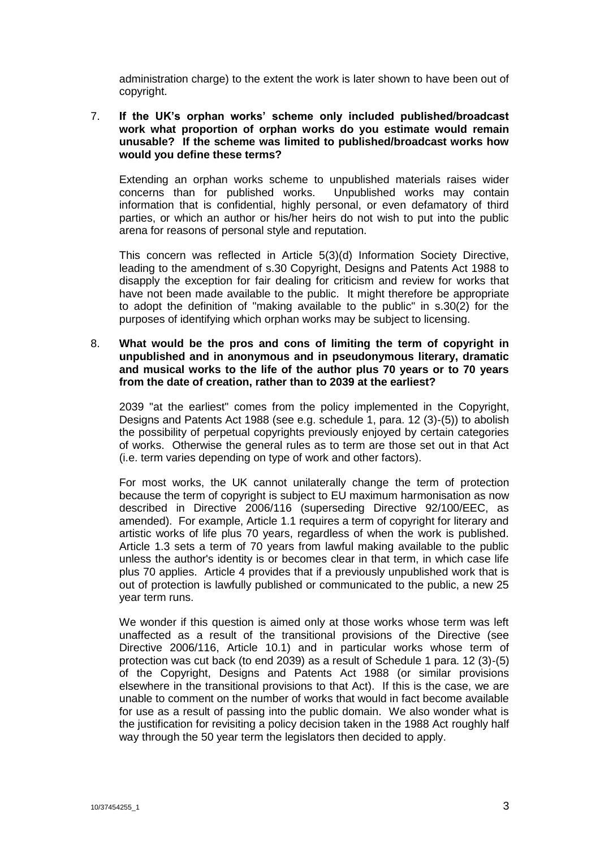administration charge) to the extent the work is later shown to have been out of copyright.

# 7. **If the UK's orphan works' scheme only included published/broadcast work what proportion of orphan works do you estimate would remain unusable? If the scheme was limited to published/broadcast works how would you define these terms?**

Extending an orphan works scheme to unpublished materials raises wider concerns than for published works. Unpublished works may contain information that is confidential, highly personal, or even defamatory of third parties, or which an author or his/her heirs do not wish to put into the public arena for reasons of personal style and reputation.

This concern was reflected in Article 5(3)(d) Information Society Directive, leading to the amendment of s.30 Copyright, Designs and Patents Act 1988 to disapply the exception for fair dealing for criticism and review for works that have not been made available to the public. It might therefore be appropriate to adopt the definition of "making available to the public" in s.30(2) for the purposes of identifying which orphan works may be subject to licensing.

#### 8. **What would be the pros and cons of limiting the term of copyright in unpublished and in anonymous and in pseudonymous literary, dramatic and musical works to the life of the author plus 70 years or to 70 years from the date of creation, rather than to 2039 at the earliest?**

2039 "at the earliest" comes from the policy implemented in the Copyright, Designs and Patents Act 1988 (see e.g. schedule 1, para. 12 (3)-(5)) to abolish the possibility of perpetual copyrights previously enjoyed by certain categories of works. Otherwise the general rules as to term are those set out in that Act (i.e. term varies depending on type of work and other factors).

For most works, the UK cannot unilaterally change the term of protection because the term of copyright is subject to EU maximum harmonisation as now described in Directive 2006/116 (superseding Directive 92/100/EEC, as amended). For example, Article 1.1 requires a term of copyright for literary and artistic works of life plus 70 years, regardless of when the work is published. Article 1.3 sets a term of 70 years from lawful making available to the public unless the author's identity is or becomes clear in that term, in which case life plus 70 applies. Article 4 provides that if a previously unpublished work that is out of protection is lawfully published or communicated to the public, a new 25 year term runs.

We wonder if this question is aimed only at those works whose term was left unaffected as a result of the transitional provisions of the Directive (see Directive 2006/116, Article 10.1) and in particular works whose term of protection was cut back (to end 2039) as a result of Schedule 1 para. 12 (3)-(5) of the Copyright, Designs and Patents Act 1988 (or similar provisions elsewhere in the transitional provisions to that Act). If this is the case, we are unable to comment on the number of works that would in fact become available for use as a result of passing into the public domain. We also wonder what is the justification for revisiting a policy decision taken in the 1988 Act roughly half way through the 50 year term the legislators then decided to apply.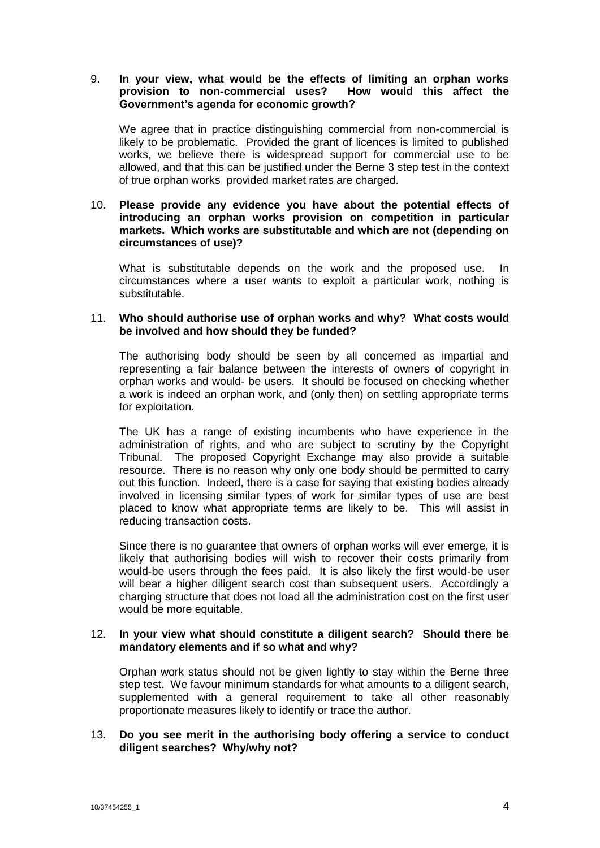# 9. **In your view, what would be the effects of limiting an orphan works provision to non-commercial uses? How would this affect the Government's agenda for economic growth?**

We agree that in practice distinguishing commercial from non-commercial is likely to be problematic. Provided the grant of licences is limited to published works, we believe there is widespread support for commercial use to be allowed, and that this can be justified under the Berne 3 step test in the context of true orphan works provided market rates are charged.

# 10. **Please provide any evidence you have about the potential effects of introducing an orphan works provision on competition in particular markets. Which works are substitutable and which are not (depending on circumstances of use)?**

What is substitutable depends on the work and the proposed use. In circumstances where a user wants to exploit a particular work, nothing is substitutable.

# 11. **Who should authorise use of orphan works and why? What costs would be involved and how should they be funded?**

The authorising body should be seen by all concerned as impartial and representing a fair balance between the interests of owners of copyright in orphan works and would- be users. It should be focused on checking whether a work is indeed an orphan work, and (only then) on settling appropriate terms for exploitation.

The UK has a range of existing incumbents who have experience in the administration of rights, and who are subject to scrutiny by the Copyright Tribunal. The proposed Copyright Exchange may also provide a suitable resource. There is no reason why only one body should be permitted to carry out this function. Indeed, there is a case for saying that existing bodies already involved in licensing similar types of work for similar types of use are best placed to know what appropriate terms are likely to be. This will assist in reducing transaction costs.

Since there is no guarantee that owners of orphan works will ever emerge, it is likely that authorising bodies will wish to recover their costs primarily from would-be users through the fees paid. It is also likely the first would-be user will bear a higher diligent search cost than subsequent users. Accordingly a charging structure that does not load all the administration cost on the first user would be more equitable.

#### 12. **In your view what should constitute a diligent search? Should there be mandatory elements and if so what and why?**

Orphan work status should not be given lightly to stay within the Berne three step test. We favour minimum standards for what amounts to a diligent search, supplemented with a general requirement to take all other reasonably proportionate measures likely to identify or trace the author.

# 13. **Do you see merit in the authorising body offering a service to conduct diligent searches? Why/why not?**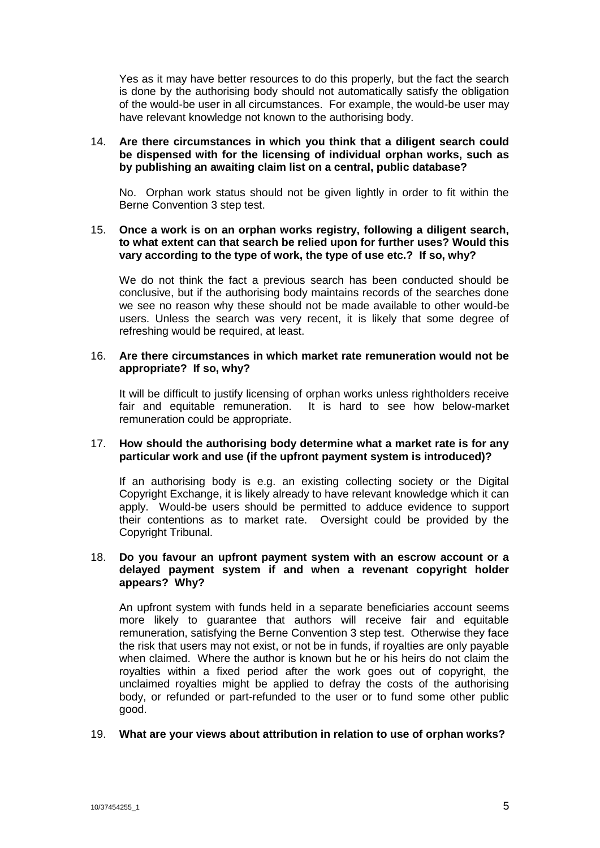Yes as it may have better resources to do this properly, but the fact the search is done by the authorising body should not automatically satisfy the obligation of the would-be user in all circumstances. For example, the would-be user may have relevant knowledge not known to the authorising body.

# 14. **Are there circumstances in which you think that a diligent search could be dispensed with for the licensing of individual orphan works, such as by publishing an awaiting claim list on a central, public database?**

No. Orphan work status should not be given lightly in order to fit within the Berne Convention 3 step test.

# 15. **Once a work is on an orphan works registry, following a diligent search, to what extent can that search be relied upon for further uses? Would this vary according to the type of work, the type of use etc.? If so, why?**

We do not think the fact a previous search has been conducted should be conclusive, but if the authorising body maintains records of the searches done we see no reason why these should not be made available to other would-be users. Unless the search was very recent, it is likely that some degree of refreshing would be required, at least.

#### 16. **Are there circumstances in which market rate remuneration would not be appropriate? If so, why?**

It will be difficult to justify licensing of orphan works unless rightholders receive fair and equitable remuneration. It is hard to see how below-market remuneration could be appropriate.

# 17. **How should the authorising body determine what a market rate is for any particular work and use (if the upfront payment system is introduced)?**

If an authorising body is e.g. an existing collecting society or the Digital Copyright Exchange, it is likely already to have relevant knowledge which it can apply. Would-be users should be permitted to adduce evidence to support their contentions as to market rate. Oversight could be provided by the Copyright Tribunal.

## 18. **Do you favour an upfront payment system with an escrow account or a delayed payment system if and when a revenant copyright holder appears? Why?**

An upfront system with funds held in a separate beneficiaries account seems more likely to guarantee that authors will receive fair and equitable remuneration, satisfying the Berne Convention 3 step test. Otherwise they face the risk that users may not exist, or not be in funds, if royalties are only payable when claimed. Where the author is known but he or his heirs do not claim the royalties within a fixed period after the work goes out of copyright, the unclaimed royalties might be applied to defray the costs of the authorising body, or refunded or part-refunded to the user or to fund some other public good.

# 19. **What are your views about attribution in relation to use of orphan works?**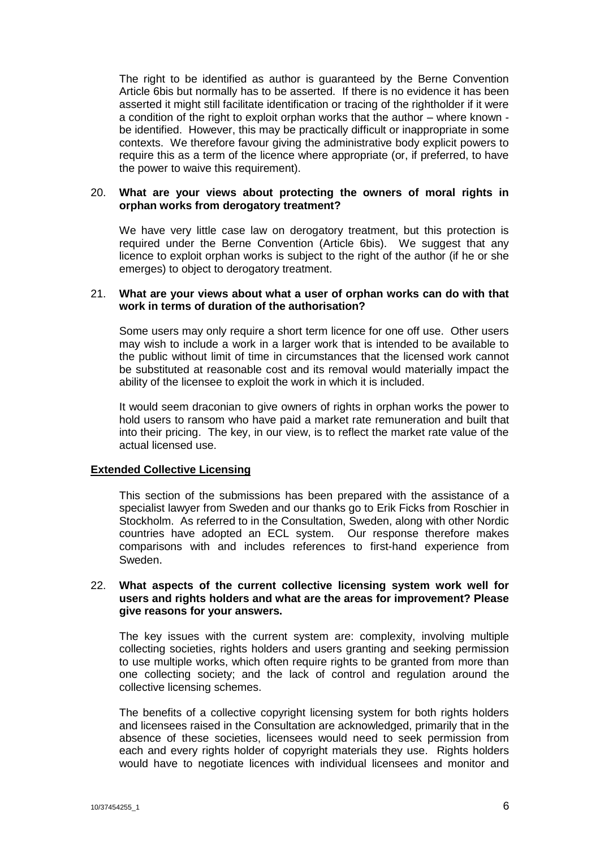The right to be identified as author is guaranteed by the Berne Convention Article 6bis but normally has to be asserted. If there is no evidence it has been asserted it might still facilitate identification or tracing of the rightholder if it were a condition of the right to exploit orphan works that the author – where known be identified. However, this may be practically difficult or inappropriate in some contexts. We therefore favour giving the administrative body explicit powers to require this as a term of the licence where appropriate (or, if preferred, to have the power to waive this requirement).

#### 20. **What are your views about protecting the owners of moral rights in orphan works from derogatory treatment?**

We have very little case law on derogatory treatment, but this protection is required under the Berne Convention (Article 6bis). We suggest that any licence to exploit orphan works is subject to the right of the author (if he or she emerges) to object to derogatory treatment.

#### 21. **What are your views about what a user of orphan works can do with that work in terms of duration of the authorisation?**

Some users may only require a short term licence for one off use. Other users may wish to include a work in a larger work that is intended to be available to the public without limit of time in circumstances that the licensed work cannot be substituted at reasonable cost and its removal would materially impact the ability of the licensee to exploit the work in which it is included.

It would seem draconian to give owners of rights in orphan works the power to hold users to ransom who have paid a market rate remuneration and built that into their pricing. The key, in our view, is to reflect the market rate value of the actual licensed use.

#### **Extended Collective Licensing**

This section of the submissions has been prepared with the assistance of a specialist lawyer from Sweden and our thanks go to Erik Ficks from Roschier in Stockholm. As referred to in the Consultation, Sweden, along with other Nordic countries have adopted an ECL system. Our response therefore makes comparisons with and includes references to first-hand experience from Sweden.

#### 22. **What aspects of the current collective licensing system work well for users and rights holders and what are the areas for improvement? Please give reasons for your answers.**

The key issues with the current system are: complexity, involving multiple collecting societies, rights holders and users granting and seeking permission to use multiple works, which often require rights to be granted from more than one collecting society; and the lack of control and regulation around the collective licensing schemes.

The benefits of a collective copyright licensing system for both rights holders and licensees raised in the Consultation are acknowledged, primarily that in the absence of these societies, licensees would need to seek permission from each and every rights holder of copyright materials they use. Rights holders would have to negotiate licences with individual licensees and monitor and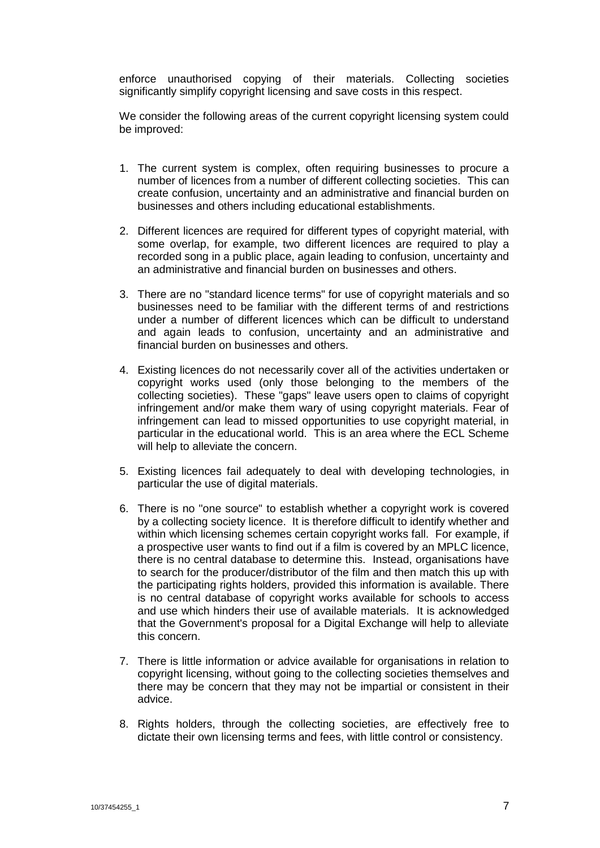enforce unauthorised copying of their materials. Collecting societies significantly simplify copyright licensing and save costs in this respect.

We consider the following areas of the current copyright licensing system could be improved:

- 1. The current system is complex, often requiring businesses to procure a number of licences from a number of different collecting societies. This can create confusion, uncertainty and an administrative and financial burden on businesses and others including educational establishments.
- 2. Different licences are required for different types of copyright material, with some overlap, for example, two different licences are required to play a recorded song in a public place, again leading to confusion, uncertainty and an administrative and financial burden on businesses and others.
- 3. There are no "standard licence terms" for use of copyright materials and so businesses need to be familiar with the different terms of and restrictions under a number of different licences which can be difficult to understand and again leads to confusion, uncertainty and an administrative and financial burden on businesses and others.
- 4. Existing licences do not necessarily cover all of the activities undertaken or copyright works used (only those belonging to the members of the collecting societies). These "gaps" leave users open to claims of copyright infringement and/or make them wary of using copyright materials. Fear of infringement can lead to missed opportunities to use copyright material, in particular in the educational world. This is an area where the ECL Scheme will help to alleviate the concern.
- 5. Existing licences fail adequately to deal with developing technologies, in particular the use of digital materials.
- 6. There is no "one source" to establish whether a copyright work is covered by a collecting society licence. It is therefore difficult to identify whether and within which licensing schemes certain copyright works fall. For example, if a prospective user wants to find out if a film is covered by an MPLC licence, there is no central database to determine this. Instead, organisations have to search for the producer/distributor of the film and then match this up with the participating rights holders, provided this information is available. There is no central database of copyright works available for schools to access and use which hinders their use of available materials. It is acknowledged that the Government's proposal for a Digital Exchange will help to alleviate this concern.
- 7. There is little information or advice available for organisations in relation to copyright licensing, without going to the collecting societies themselves and there may be concern that they may not be impartial or consistent in their advice.
- 8. Rights holders, through the collecting societies, are effectively free to dictate their own licensing terms and fees, with little control or consistency.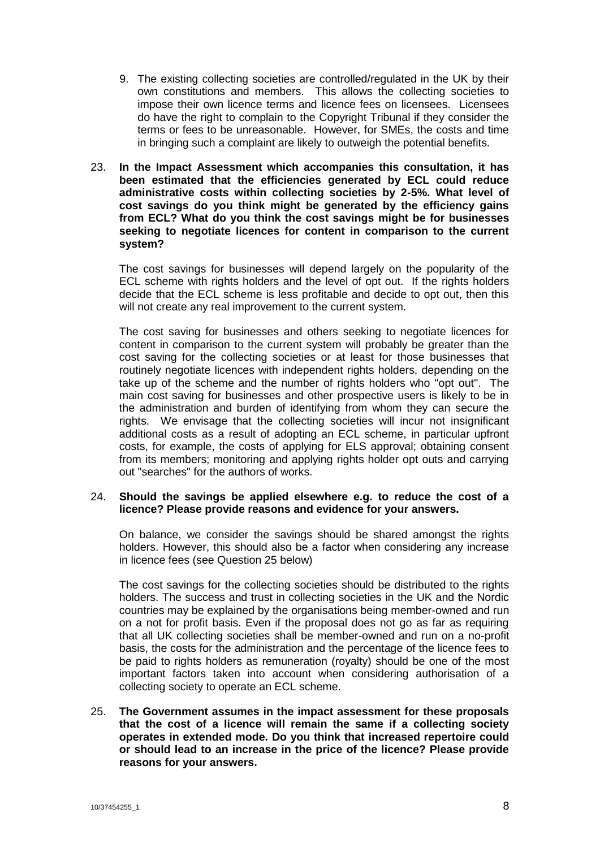- 9. The existing collecting societies are controlled/regulated in the UK by their own constitutions and members. This allows the collecting societies to impose their own licence terms and licence fees on licensees. Licensees do have the right to complain to the Copyright Tribunal if they consider the terms or fees to be unreasonable. However, for SMEs, the costs and time in bringing such a complaint are likely to outweigh the potential benefits.
- 23. **In the Impact Assessment which accompanies this consultation, it has been estimated that the efficiencies generated by ECL could reduce administrative costs within collecting societies by 2-5%. What level of cost savings do you think might be generated by the efficiency gains from ECL? What do you think the cost savings might be for businesses seeking to negotiate licences for content in comparison to the current system?**

The cost savings for businesses will depend largely on the popularity of the ECL scheme with rights holders and the level of opt out. If the rights holders decide that the ECL scheme is less profitable and decide to opt out, then this will not create any real improvement to the current system.

The cost saving for businesses and others seeking to negotiate licences for content in comparison to the current system will probably be greater than the cost saving for the collecting societies or at least for those businesses that routinely negotiate licences with independent rights holders, depending on the take up of the scheme and the number of rights holders who "opt out". The main cost saving for businesses and other prospective users is likely to be in the administration and burden of identifying from whom they can secure the rights. We envisage that the collecting societies will incur not insignificant additional costs as a result of adopting an ECL scheme, in particular upfront costs, for example, the costs of applying for ELS approval; obtaining consent from its members; monitoring and applying rights holder opt outs and carrying out "searches" for the authors of works.

# 24. **Should the savings be applied elsewhere e.g. to reduce the cost of a licence? Please provide reasons and evidence for your answers.**

On balance, we consider the savings should be shared amongst the rights holders. However, this should also be a factor when considering any increase in licence fees (see Question 25 below)

The cost savings for the collecting societies should be distributed to the rights holders. The success and trust in collecting societies in the UK and the Nordic countries may be explained by the organisations being member-owned and run on a not for profit basis. Even if the proposal does not go as far as requiring that all UK collecting societies shall be member-owned and run on a no-profit basis, the costs for the administration and the percentage of the licence fees to be paid to rights holders as remuneration (royalty) should be one of the most important factors taken into account when considering authorisation of a collecting society to operate an ECL scheme.

25. **The Government assumes in the impact assessment for these proposals that the cost of a licence will remain the same if a collecting society operates in extended mode. Do you think that increased repertoire could or should lead to an increase in the price of the licence? Please provide reasons for your answers.**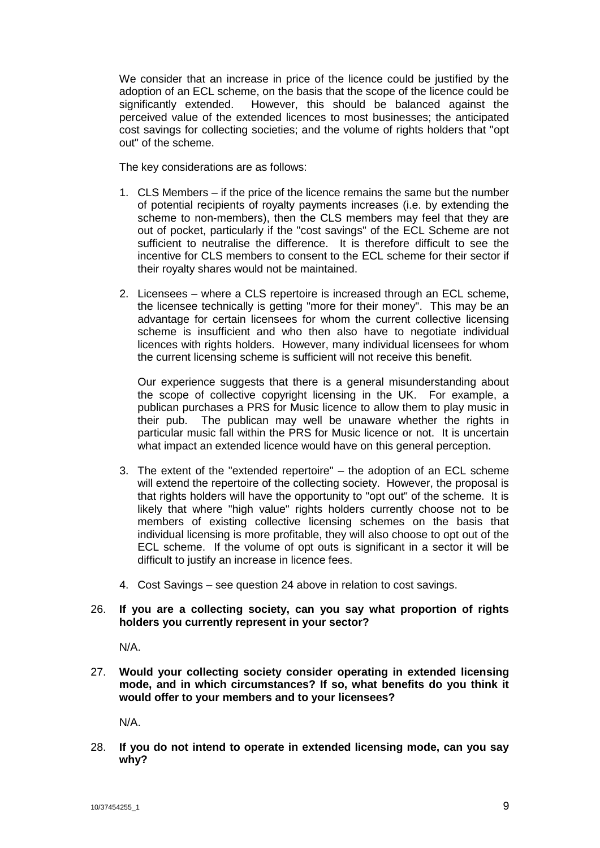We consider that an increase in price of the licence could be justified by the adoption of an ECL scheme, on the basis that the scope of the licence could be significantly extended. However, this should be balanced against the perceived value of the extended licences to most businesses; the anticipated cost savings for collecting societies; and the volume of rights holders that "opt out" of the scheme.

The key considerations are as follows:

- 1. CLS Members if the price of the licence remains the same but the number of potential recipients of royalty payments increases (i.e. by extending the scheme to non-members), then the CLS members may feel that they are out of pocket, particularly if the "cost savings" of the ECL Scheme are not sufficient to neutralise the difference. It is therefore difficult to see the incentive for CLS members to consent to the ECL scheme for their sector if their royalty shares would not be maintained.
- 2. Licensees where a CLS repertoire is increased through an ECL scheme, the licensee technically is getting "more for their money". This may be an advantage for certain licensees for whom the current collective licensing scheme is insufficient and who then also have to negotiate individual licences with rights holders. However, many individual licensees for whom the current licensing scheme is sufficient will not receive this benefit.

Our experience suggests that there is a general misunderstanding about the scope of collective copyright licensing in the UK. For example, a publican purchases a PRS for Music licence to allow them to play music in their pub. The publican may well be unaware whether the rights in particular music fall within the PRS for Music licence or not. It is uncertain what impact an extended licence would have on this general perception.

- 3. The extent of the "extended repertoire" the adoption of an ECL scheme will extend the repertoire of the collecting society. However, the proposal is that rights holders will have the opportunity to "opt out" of the scheme. It is likely that where "high value" rights holders currently choose not to be members of existing collective licensing schemes on the basis that individual licensing is more profitable, they will also choose to opt out of the ECL scheme. If the volume of opt outs is significant in a sector it will be difficult to justify an increase in licence fees.
- 4. Cost Savings see question 24 above in relation to cost savings.

# 26. **If you are a collecting society, can you say what proportion of rights holders you currently represent in your sector?**

N/A.

27. **Would your collecting society consider operating in extended licensing mode, and in which circumstances? If so, what benefits do you think it would offer to your members and to your licensees?**

N/A.

28. **If you do not intend to operate in extended licensing mode, can you say why?**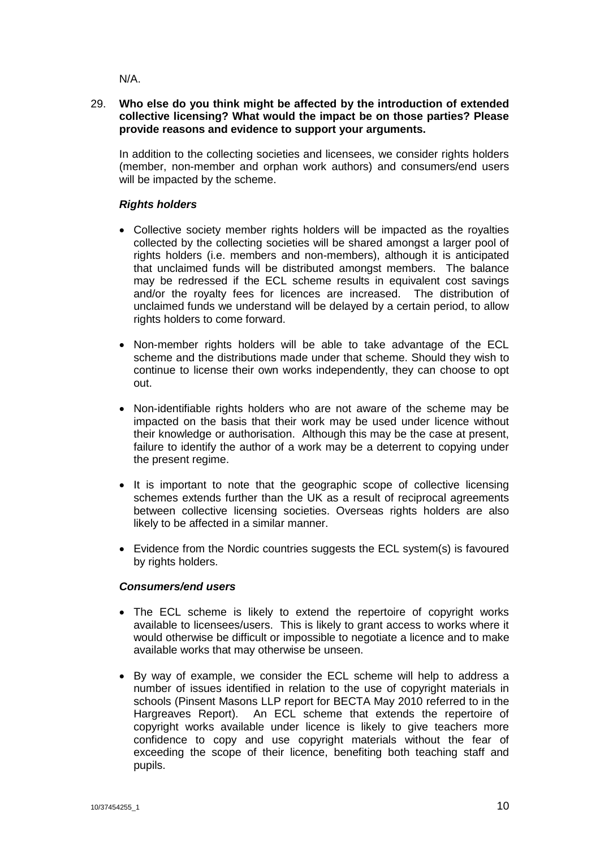N/A.

# 29. **Who else do you think might be affected by the introduction of extended collective licensing? What would the impact be on those parties? Please provide reasons and evidence to support your arguments.**

In addition to the collecting societies and licensees, we consider rights holders (member, non-member and orphan work authors) and consumers/end users will be impacted by the scheme.

# *Rights holders*

- Collective society member rights holders will be impacted as the royalties collected by the collecting societies will be shared amongst a larger pool of rights holders (i.e. members and non-members), although it is anticipated that unclaimed funds will be distributed amongst members. The balance may be redressed if the ECL scheme results in equivalent cost savings and/or the royalty fees for licences are increased. The distribution of unclaimed funds we understand will be delayed by a certain period, to allow rights holders to come forward.
- Non-member rights holders will be able to take advantage of the ECL scheme and the distributions made under that scheme. Should they wish to continue to license their own works independently, they can choose to opt out.
- Non-identifiable rights holders who are not aware of the scheme may be impacted on the basis that their work may be used under licence without their knowledge or authorisation. Although this may be the case at present, failure to identify the author of a work may be a deterrent to copying under the present regime.
- It is important to note that the geographic scope of collective licensing schemes extends further than the UK as a result of reciprocal agreements between collective licensing societies. Overseas rights holders are also likely to be affected in a similar manner.
- Evidence from the Nordic countries suggests the ECL system(s) is favoured by rights holders.

# *Consumers/end users*

- The ECL scheme is likely to extend the repertoire of copyright works available to licensees/users. This is likely to grant access to works where it would otherwise be difficult or impossible to negotiate a licence and to make available works that may otherwise be unseen.
- By way of example, we consider the ECL scheme will help to address a number of issues identified in relation to the use of copyright materials in schools (Pinsent Masons LLP report for BECTA May 2010 referred to in the Hargreaves Report). An ECL scheme that extends the repertoire of copyright works available under licence is likely to give teachers more confidence to copy and use copyright materials without the fear of exceeding the scope of their licence, benefiting both teaching staff and pupils.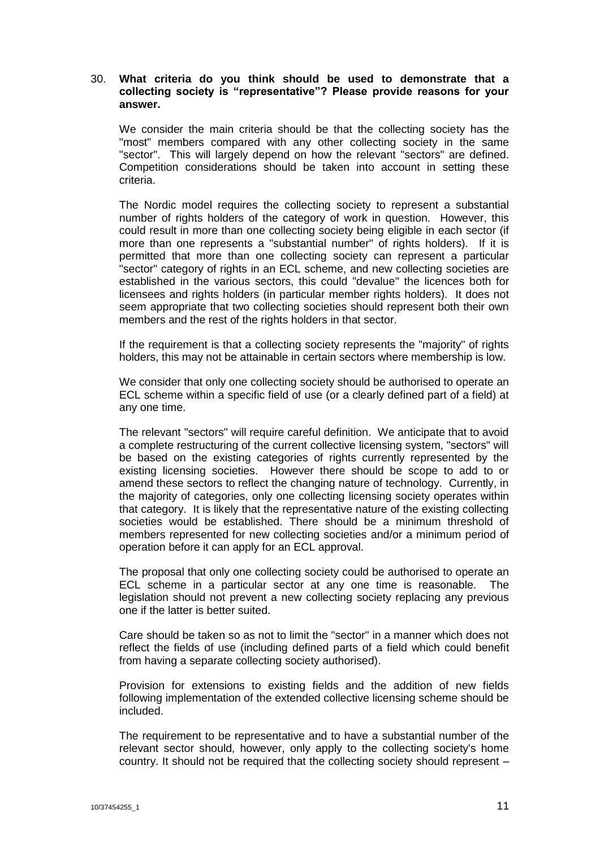# 30. **What criteria do you think should be used to demonstrate that a collecting society is "representative"? Please provide reasons for your answer.**

We consider the main criteria should be that the collecting society has the "most" members compared with any other collecting society in the same "sector". This will largely depend on how the relevant "sectors" are defined. Competition considerations should be taken into account in setting these criteria.

The Nordic model requires the collecting society to represent a substantial number of rights holders of the category of work in question. However, this could result in more than one collecting society being eligible in each sector (if more than one represents a "substantial number" of rights holders). If it is permitted that more than one collecting society can represent a particular "sector" category of rights in an ECL scheme, and new collecting societies are established in the various sectors, this could "devalue" the licences both for licensees and rights holders (in particular member rights holders). It does not seem appropriate that two collecting societies should represent both their own members and the rest of the rights holders in that sector.

If the requirement is that a collecting society represents the "majority" of rights holders, this may not be attainable in certain sectors where membership is low.

We consider that only one collecting society should be authorised to operate an ECL scheme within a specific field of use (or a clearly defined part of a field) at any one time.

The relevant "sectors" will require careful definition. We anticipate that to avoid a complete restructuring of the current collective licensing system, "sectors" will be based on the existing categories of rights currently represented by the existing licensing societies. However there should be scope to add to or amend these sectors to reflect the changing nature of technology. Currently, in the majority of categories, only one collecting licensing society operates within that category. It is likely that the representative nature of the existing collecting societies would be established. There should be a minimum threshold of members represented for new collecting societies and/or a minimum period of operation before it can apply for an ECL approval.

The proposal that only one collecting society could be authorised to operate an ECL scheme in a particular sector at any one time is reasonable. The legislation should not prevent a new collecting society replacing any previous one if the latter is better suited.

Care should be taken so as not to limit the "sector" in a manner which does not reflect the fields of use (including defined parts of a field which could benefit from having a separate collecting society authorised).

Provision for extensions to existing fields and the addition of new fields following implementation of the extended collective licensing scheme should be included.

The requirement to be representative and to have a substantial number of the relevant sector should, however, only apply to the collecting society's home country. It should not be required that the collecting society should represent –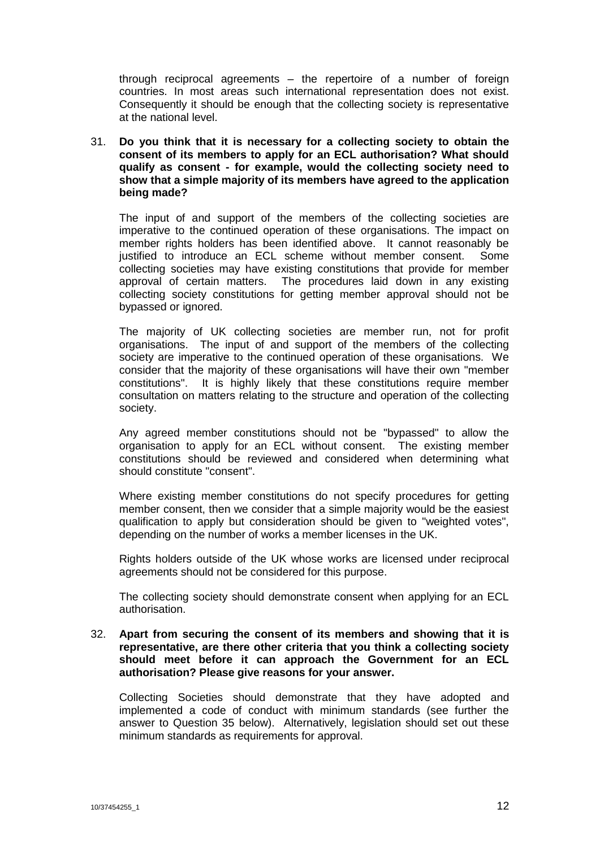through reciprocal agreements – the repertoire of a number of foreign countries. In most areas such international representation does not exist. Consequently it should be enough that the collecting society is representative at the national level.

31. **Do you think that it is necessary for a collecting society to obtain the consent of its members to apply for an ECL authorisation? What should qualify as consent - for example, would the collecting society need to show that a simple majority of its members have agreed to the application being made?**

The input of and support of the members of the collecting societies are imperative to the continued operation of these organisations. The impact on member rights holders has been identified above. It cannot reasonably be justified to introduce an ECL scheme without member consent. Some collecting societies may have existing constitutions that provide for member approval of certain matters. The procedures laid down in any existing collecting society constitutions for getting member approval should not be bypassed or ignored.

The majority of UK collecting societies are member run, not for profit organisations. The input of and support of the members of the collecting society are imperative to the continued operation of these organisations. We consider that the majority of these organisations will have their own "member constitutions". It is highly likely that these constitutions require member consultation on matters relating to the structure and operation of the collecting society.

Any agreed member constitutions should not be "bypassed" to allow the organisation to apply for an ECL without consent. The existing member constitutions should be reviewed and considered when determining what should constitute "consent".

Where existing member constitutions do not specify procedures for getting member consent, then we consider that a simple majority would be the easiest qualification to apply but consideration should be given to "weighted votes", depending on the number of works a member licenses in the UK.

Rights holders outside of the UK whose works are licensed under reciprocal agreements should not be considered for this purpose.

The collecting society should demonstrate consent when applying for an ECL authorisation.

32. **Apart from securing the consent of its members and showing that it is representative, are there other criteria that you think a collecting society should meet before it can approach the Government for an ECL authorisation? Please give reasons for your answer.**

Collecting Societies should demonstrate that they have adopted and implemented a code of conduct with minimum standards (see further the answer to Question 35 below). Alternatively, legislation should set out these minimum standards as requirements for approval.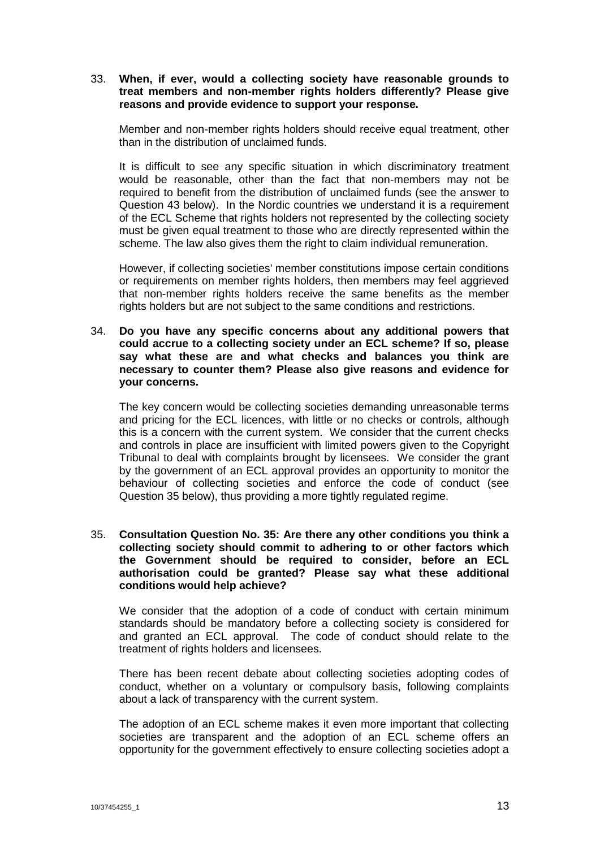# 33. **When, if ever, would a collecting society have reasonable grounds to treat members and non-member rights holders differently? Please give reasons and provide evidence to support your response.**

Member and non-member rights holders should receive equal treatment, other than in the distribution of unclaimed funds.

It is difficult to see any specific situation in which discriminatory treatment would be reasonable, other than the fact that non-members may not be required to benefit from the distribution of unclaimed funds (see the answer to Question 43 below). In the Nordic countries we understand it is a requirement of the ECL Scheme that rights holders not represented by the collecting society must be given equal treatment to those who are directly represented within the scheme. The law also gives them the right to claim individual remuneration.

However, if collecting societies' member constitutions impose certain conditions or requirements on member rights holders, then members may feel aggrieved that non-member rights holders receive the same benefits as the member rights holders but are not subject to the same conditions and restrictions.

#### 34. **Do you have any specific concerns about any additional powers that could accrue to a collecting society under an ECL scheme? If so, please say what these are and what checks and balances you think are necessary to counter them? Please also give reasons and evidence for your concerns.**

The key concern would be collecting societies demanding unreasonable terms and pricing for the ECL licences, with little or no checks or controls, although this is a concern with the current system. We consider that the current checks and controls in place are insufficient with limited powers given to the Copyright Tribunal to deal with complaints brought by licensees. We consider the grant by the government of an ECL approval provides an opportunity to monitor the behaviour of collecting societies and enforce the code of conduct (see Question 35 below), thus providing a more tightly regulated regime.

# 35. **Consultation Question No. 35: Are there any other conditions you think a collecting society should commit to adhering to or other factors which the Government should be required to consider, before an ECL authorisation could be granted? Please say what these additional conditions would help achieve?**

We consider that the adoption of a code of conduct with certain minimum standards should be mandatory before a collecting society is considered for and granted an ECL approval. The code of conduct should relate to the treatment of rights holders and licensees.

There has been recent debate about collecting societies adopting codes of conduct, whether on a voluntary or compulsory basis, following complaints about a lack of transparency with the current system.

The adoption of an ECL scheme makes it even more important that collecting societies are transparent and the adoption of an ECL scheme offers an opportunity for the government effectively to ensure collecting societies adopt a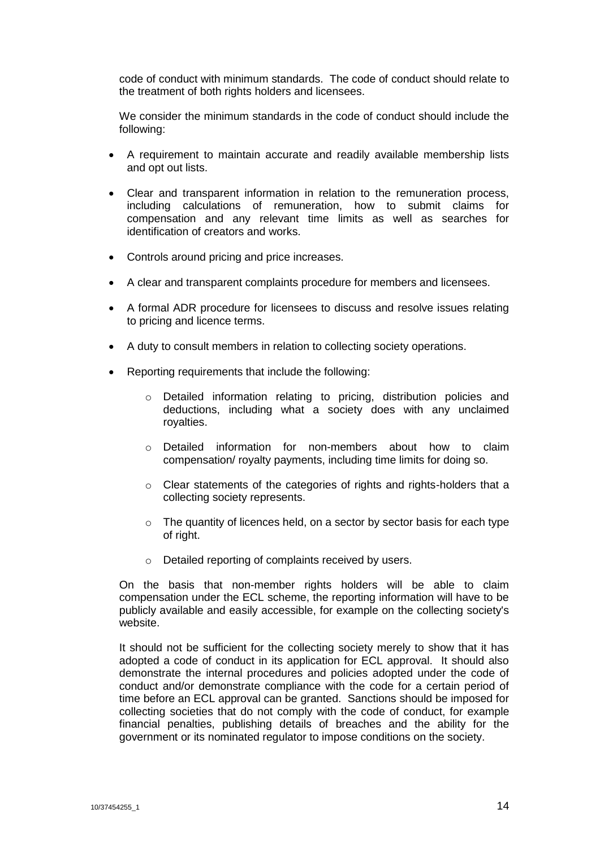code of conduct with minimum standards. The code of conduct should relate to the treatment of both rights holders and licensees.

We consider the minimum standards in the code of conduct should include the following:

- A requirement to maintain accurate and readily available membership lists and opt out lists.
- Clear and transparent information in relation to the remuneration process, including calculations of remuneration, how to submit claims for compensation and any relevant time limits as well as searches for identification of creators and works.
- Controls around pricing and price increases.
- A clear and transparent complaints procedure for members and licensees.
- A formal ADR procedure for licensees to discuss and resolve issues relating to pricing and licence terms.
- A duty to consult members in relation to collecting society operations.
- Reporting requirements that include the following:
	- o Detailed information relating to pricing, distribution policies and deductions, including what a society does with any unclaimed royalties.
	- o Detailed information for non-members about how to claim compensation/ royalty payments, including time limits for doing so.
	- o Clear statements of the categories of rights and rights-holders that a collecting society represents.
	- $\circ$  The quantity of licences held, on a sector by sector basis for each type of right.
	- o Detailed reporting of complaints received by users.

On the basis that non-member rights holders will be able to claim compensation under the ECL scheme, the reporting information will have to be publicly available and easily accessible, for example on the collecting society's website.

It should not be sufficient for the collecting society merely to show that it has adopted a code of conduct in its application for ECL approval. It should also demonstrate the internal procedures and policies adopted under the code of conduct and/or demonstrate compliance with the code for a certain period of time before an ECL approval can be granted. Sanctions should be imposed for collecting societies that do not comply with the code of conduct, for example financial penalties, publishing details of breaches and the ability for the government or its nominated regulator to impose conditions on the society.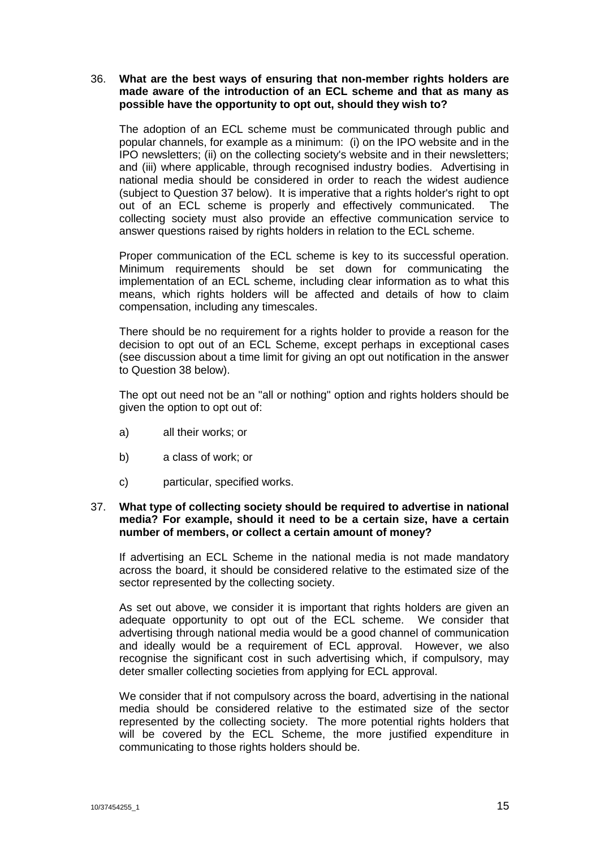# 36. **What are the best ways of ensuring that non-member rights holders are made aware of the introduction of an ECL scheme and that as many as possible have the opportunity to opt out, should they wish to?**

The adoption of an ECL scheme must be communicated through public and popular channels, for example as a minimum: (i) on the IPO website and in the IPO newsletters; (ii) on the collecting society's website and in their newsletters; and (iii) where applicable, through recognised industry bodies. Advertising in national media should be considered in order to reach the widest audience (subject to Question 37 below). It is imperative that a rights holder's right to opt out of an ECL scheme is properly and effectively communicated. The collecting society must also provide an effective communication service to answer questions raised by rights holders in relation to the ECL scheme.

Proper communication of the ECL scheme is key to its successful operation. Minimum requirements should be set down for communicating the implementation of an ECL scheme, including clear information as to what this means, which rights holders will be affected and details of how to claim compensation, including any timescales.

There should be no requirement for a rights holder to provide a reason for the decision to opt out of an ECL Scheme, except perhaps in exceptional cases (see discussion about a time limit for giving an opt out notification in the answer to Question 38 below).

The opt out need not be an "all or nothing" option and rights holders should be given the option to opt out of:

- a) all their works; or
- b) a class of work; or
- c) particular, specified works.

## 37. **What type of collecting society should be required to advertise in national media? For example, should it need to be a certain size, have a certain number of members, or collect a certain amount of money?**

If advertising an ECL Scheme in the national media is not made mandatory across the board, it should be considered relative to the estimated size of the sector represented by the collecting society.

As set out above, we consider it is important that rights holders are given an adequate opportunity to opt out of the ECL scheme. We consider that advertising through national media would be a good channel of communication and ideally would be a requirement of ECL approval. However, we also recognise the significant cost in such advertising which, if compulsory, may deter smaller collecting societies from applying for ECL approval.

We consider that if not compulsory across the board, advertising in the national media should be considered relative to the estimated size of the sector represented by the collecting society. The more potential rights holders that will be covered by the ECL Scheme, the more justified expenditure in communicating to those rights holders should be.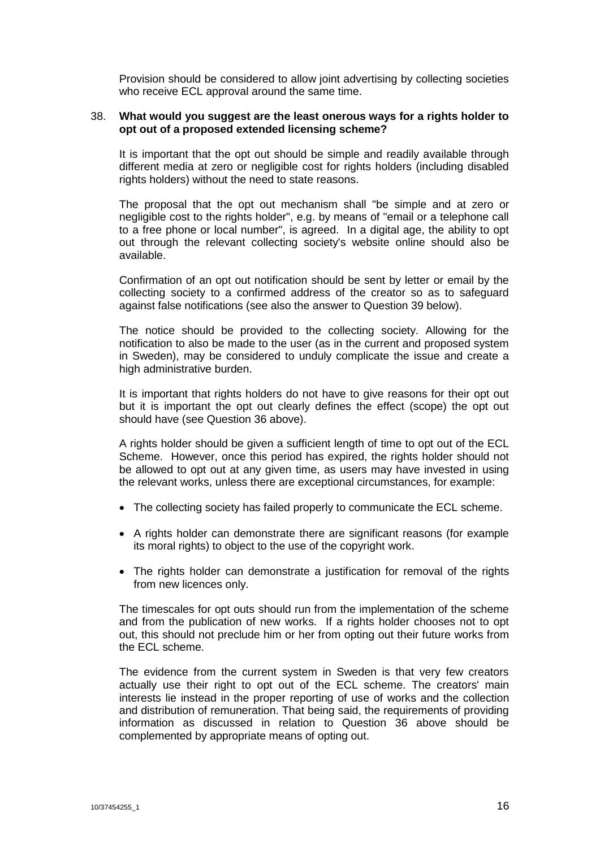Provision should be considered to allow joint advertising by collecting societies who receive ECL approval around the same time.

#### 38. **What would you suggest are the least onerous ways for a rights holder to opt out of a proposed extended licensing scheme?**

It is important that the opt out should be simple and readily available through different media at zero or negligible cost for rights holders (including disabled rights holders) without the need to state reasons.

The proposal that the opt out mechanism shall "be simple and at zero or negligible cost to the rights holder", e.g. by means of "email or a telephone call to a free phone or local number", is agreed. In a digital age, the ability to opt out through the relevant collecting society's website online should also be available.

Confirmation of an opt out notification should be sent by letter or email by the collecting society to a confirmed address of the creator so as to safeguard against false notifications (see also the answer to Question 39 below).

The notice should be provided to the collecting society. Allowing for the notification to also be made to the user (as in the current and proposed system in Sweden), may be considered to unduly complicate the issue and create a high administrative burden.

It is important that rights holders do not have to give reasons for their opt out but it is important the opt out clearly defines the effect (scope) the opt out should have (see Question 36 above).

A rights holder should be given a sufficient length of time to opt out of the ECL Scheme. However, once this period has expired, the rights holder should not be allowed to opt out at any given time, as users may have invested in using the relevant works, unless there are exceptional circumstances, for example:

- The collecting society has failed properly to communicate the ECL scheme.
- A rights holder can demonstrate there are significant reasons (for example its moral rights) to object to the use of the copyright work.
- The rights holder can demonstrate a justification for removal of the rights from new licences only.

The timescales for opt outs should run from the implementation of the scheme and from the publication of new works. If a rights holder chooses not to opt out, this should not preclude him or her from opting out their future works from the ECL scheme.

The evidence from the current system in Sweden is that very few creators actually use their right to opt out of the ECL scheme. The creators' main interests lie instead in the proper reporting of use of works and the collection and distribution of remuneration. That being said, the requirements of providing information as discussed in relation to Question 36 above should be complemented by appropriate means of opting out.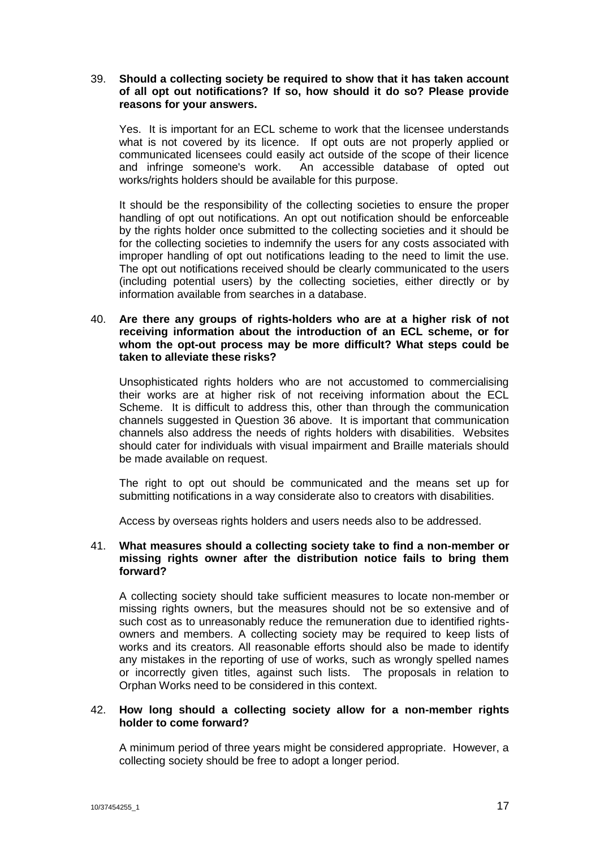# 39. **Should a collecting society be required to show that it has taken account of all opt out notifications? If so, how should it do so? Please provide reasons for your answers.**

Yes. It is important for an ECL scheme to work that the licensee understands what is not covered by its licence. If opt outs are not properly applied or communicated licensees could easily act outside of the scope of their licence and infringe someone's work. An accessible database of opted out works/rights holders should be available for this purpose.

It should be the responsibility of the collecting societies to ensure the proper handling of opt out notifications. An opt out notification should be enforceable by the rights holder once submitted to the collecting societies and it should be for the collecting societies to indemnify the users for any costs associated with improper handling of opt out notifications leading to the need to limit the use. The opt out notifications received should be clearly communicated to the users (including potential users) by the collecting societies, either directly or by information available from searches in a database.

# 40. **Are there any groups of rights-holders who are at a higher risk of not receiving information about the introduction of an ECL scheme, or for whom the opt-out process may be more difficult? What steps could be taken to alleviate these risks?**

Unsophisticated rights holders who are not accustomed to commercialising their works are at higher risk of not receiving information about the ECL Scheme. It is difficult to address this, other than through the communication channels suggested in Question 36 above. It is important that communication channels also address the needs of rights holders with disabilities. Websites should cater for individuals with visual impairment and Braille materials should be made available on request.

The right to opt out should be communicated and the means set up for submitting notifications in a way considerate also to creators with disabilities.

Access by overseas rights holders and users needs also to be addressed.

## 41. **What measures should a collecting society take to find a non-member or missing rights owner after the distribution notice fails to bring them forward?**

A collecting society should take sufficient measures to locate non-member or missing rights owners, but the measures should not be so extensive and of such cost as to unreasonably reduce the remuneration due to identified rightsowners and members. A collecting society may be required to keep lists of works and its creators. All reasonable efforts should also be made to identify any mistakes in the reporting of use of works, such as wrongly spelled names or incorrectly given titles, against such lists. The proposals in relation to Orphan Works need to be considered in this context.

# 42. **How long should a collecting society allow for a non-member rights holder to come forward?**

A minimum period of three years might be considered appropriate. However, a collecting society should be free to adopt a longer period.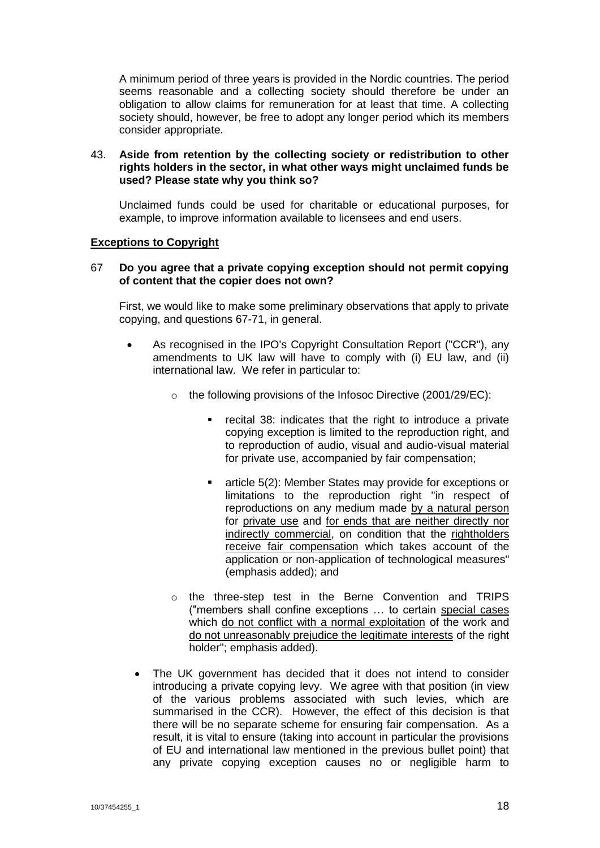A minimum period of three years is provided in the Nordic countries. The period seems reasonable and a collecting society should therefore be under an obligation to allow claims for remuneration for at least that time. A collecting society should, however, be free to adopt any longer period which its members consider appropriate.

## 43. **Aside from retention by the collecting society or redistribution to other rights holders in the sector, in what other ways might unclaimed funds be used? Please state why you think so?**

Unclaimed funds could be used for charitable or educational purposes, for example, to improve information available to licensees and end users.

# **Exceptions to Copyright**

#### 67 **Do you agree that a private copying exception should not permit copying of content that the copier does not own?**

First, we would like to make some preliminary observations that apply to private copying, and questions 67-71, in general.

- As recognised in the IPO's Copyright Consultation Report ("CCR"), any amendments to UK law will have to comply with (i) EU law, and (ii) international law. We refer in particular to:
	- o the following provisions of the Infosoc Directive (2001/29/EC):
		- recital 38: indicates that the right to introduce a private copying exception is limited to the reproduction right, and to reproduction of audio, visual and audio-visual material for private use, accompanied by fair compensation;
		- **EXEC** article 5(2): Member States may provide for exceptions or limitations to the reproduction right "in respect of reproductions on any medium made by a natural person for private use and for ends that are neither directly nor indirectly commercial, on condition that the rightholders receive fair compensation which takes account of the application or non-application of technological measures" (emphasis added); and
	- o the three-step test in the Berne Convention and TRIPS ("members shall confine exceptions … to certain special cases which do not conflict with a normal exploitation of the work and do not unreasonably prejudice the legitimate interests of the right holder"; emphasis added).
	- The UK government has decided that it does not intend to consider introducing a private copying levy. We agree with that position (in view of the various problems associated with such levies, which are summarised in the CCR). However, the effect of this decision is that there will be no separate scheme for ensuring fair compensation. As a result, it is vital to ensure (taking into account in particular the provisions of EU and international law mentioned in the previous bullet point) that any private copying exception causes no or negligible harm to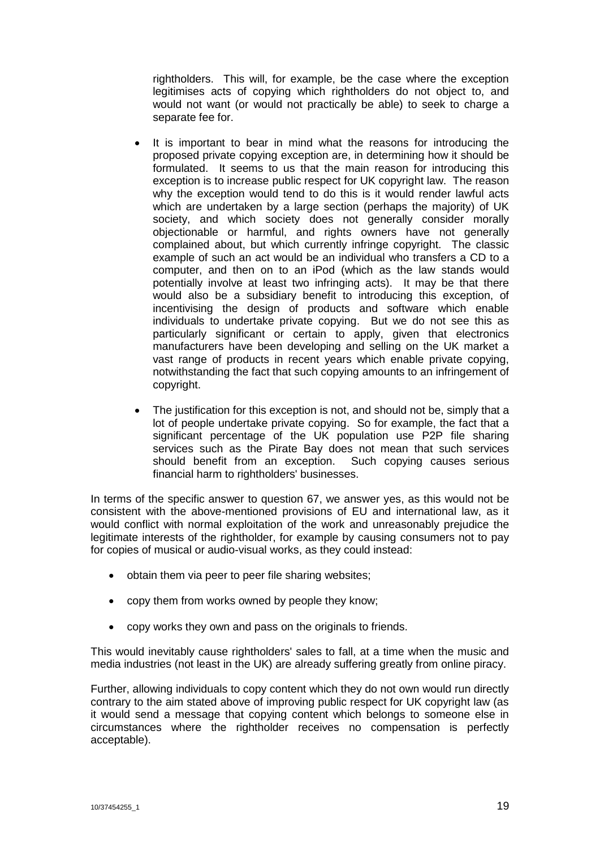rightholders. This will, for example, be the case where the exception legitimises acts of copying which rightholders do not object to, and would not want (or would not practically be able) to seek to charge a separate fee for.

- It is important to bear in mind what the reasons for introducing the proposed private copying exception are, in determining how it should be formulated. It seems to us that the main reason for introducing this exception is to increase public respect for UK copyright law. The reason why the exception would tend to do this is it would render lawful acts which are undertaken by a large section (perhaps the majority) of UK society, and which society does not generally consider morally objectionable or harmful, and rights owners have not generally complained about, but which currently infringe copyright. The classic example of such an act would be an individual who transfers a CD to a computer, and then on to an iPod (which as the law stands would potentially involve at least two infringing acts). It may be that there would also be a subsidiary benefit to introducing this exception, of incentivising the design of products and software which enable individuals to undertake private copying. But we do not see this as particularly significant or certain to apply, given that electronics manufacturers have been developing and selling on the UK market a vast range of products in recent years which enable private copying, notwithstanding the fact that such copying amounts to an infringement of copyright.
- The justification for this exception is not, and should not be, simply that a lot of people undertake private copying. So for example, the fact that a significant percentage of the UK population use P2P file sharing services such as the Pirate Bay does not mean that such services should benefit from an exception. Such copying causes serious financial harm to rightholders' businesses.

In terms of the specific answer to question 67, we answer yes, as this would not be consistent with the above-mentioned provisions of EU and international law, as it would conflict with normal exploitation of the work and unreasonably prejudice the legitimate interests of the rightholder, for example by causing consumers not to pay for copies of musical or audio-visual works, as they could instead:

- obtain them via peer to peer file sharing websites;
- copy them from works owned by people they know;
- copy works they own and pass on the originals to friends.

This would inevitably cause rightholders' sales to fall, at a time when the music and media industries (not least in the UK) are already suffering greatly from online piracy.

Further, allowing individuals to copy content which they do not own would run directly contrary to the aim stated above of improving public respect for UK copyright law (as it would send a message that copying content which belongs to someone else in circumstances where the rightholder receives no compensation is perfectly acceptable).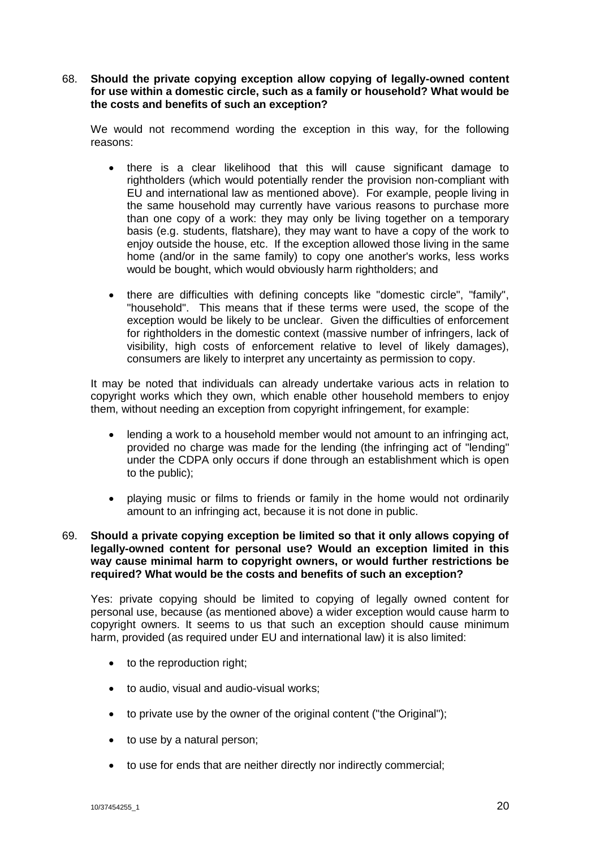# 68. **Should the private copying exception allow copying of legally-owned content for use within a domestic circle, such as a family or household? What would be the costs and benefits of such an exception?**

We would not recommend wording the exception in this way, for the following reasons:

- there is a clear likelihood that this will cause significant damage to rightholders (which would potentially render the provision non-compliant with EU and international law as mentioned above). For example, people living in the same household may currently have various reasons to purchase more than one copy of a work: they may only be living together on a temporary basis (e.g. students, flatshare), they may want to have a copy of the work to enjoy outside the house, etc. If the exception allowed those living in the same home (and/or in the same family) to copy one another's works, less works would be bought, which would obviously harm rightholders; and
- there are difficulties with defining concepts like "domestic circle", "family", "household". This means that if these terms were used, the scope of the exception would be likely to be unclear. Given the difficulties of enforcement for rightholders in the domestic context (massive number of infringers, lack of visibility, high costs of enforcement relative to level of likely damages), consumers are likely to interpret any uncertainty as permission to copy.

It may be noted that individuals can already undertake various acts in relation to copyright works which they own, which enable other household members to enjoy them, without needing an exception from copyright infringement, for example:

- lending a work to a household member would not amount to an infringing act, provided no charge was made for the lending (the infringing act of "lending" under the CDPA only occurs if done through an establishment which is open to the public);
- playing music or films to friends or family in the home would not ordinarily amount to an infringing act, because it is not done in public.

# 69. **Should a private copying exception be limited so that it only allows copying of legally-owned content for personal use? Would an exception limited in this way cause minimal harm to copyright owners, or would further restrictions be required? What would be the costs and benefits of such an exception?**

Yes: private copying should be limited to copying of legally owned content for personal use, because (as mentioned above) a wider exception would cause harm to copyright owners. It seems to us that such an exception should cause minimum harm, provided (as required under EU and international law) it is also limited:

- to the reproduction right;
- to audio, visual and audio-visual works;
- to private use by the owner of the original content ("the Original");
- to use by a natural person;
- to use for ends that are neither directly nor indirectly commercial;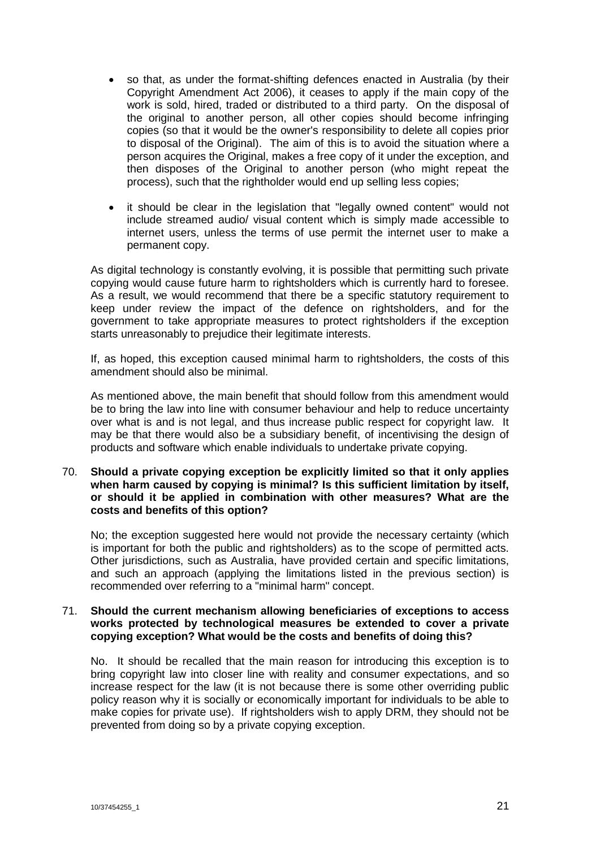- so that, as under the format-shifting defences enacted in Australia (by their Copyright Amendment Act 2006), it ceases to apply if the main copy of the work is sold, hired, traded or distributed to a third party. On the disposal of the original to another person, all other copies should become infringing copies (so that it would be the owner's responsibility to delete all copies prior to disposal of the Original). The aim of this is to avoid the situation where a person acquires the Original, makes a free copy of it under the exception, and then disposes of the Original to another person (who might repeat the process), such that the rightholder would end up selling less copies;
- it should be clear in the legislation that "legally owned content" would not include streamed audio/ visual content which is simply made accessible to internet users, unless the terms of use permit the internet user to make a permanent copy.

As digital technology is constantly evolving, it is possible that permitting such private copying would cause future harm to rightsholders which is currently hard to foresee. As a result, we would recommend that there be a specific statutory requirement to keep under review the impact of the defence on rightsholders, and for the government to take appropriate measures to protect rightsholders if the exception starts unreasonably to prejudice their legitimate interests.

If, as hoped, this exception caused minimal harm to rightsholders, the costs of this amendment should also be minimal.

As mentioned above, the main benefit that should follow from this amendment would be to bring the law into line with consumer behaviour and help to reduce uncertainty over what is and is not legal, and thus increase public respect for copyright law. It may be that there would also be a subsidiary benefit, of incentivising the design of products and software which enable individuals to undertake private copying.

## 70. **Should a private copying exception be explicitly limited so that it only applies when harm caused by copying is minimal? Is this sufficient limitation by itself, or should it be applied in combination with other measures? What are the costs and benefits of this option?**

No; the exception suggested here would not provide the necessary certainty (which is important for both the public and rightsholders) as to the scope of permitted acts. Other jurisdictions, such as Australia, have provided certain and specific limitations, and such an approach (applying the limitations listed in the previous section) is recommended over referring to a "minimal harm" concept.

## 71. **Should the current mechanism allowing beneficiaries of exceptions to access works protected by technological measures be extended to cover a private copying exception? What would be the costs and benefits of doing this?**

No. It should be recalled that the main reason for introducing this exception is to bring copyright law into closer line with reality and consumer expectations, and so increase respect for the law (it is not because there is some other overriding public policy reason why it is socially or economically important for individuals to be able to make copies for private use). If rightsholders wish to apply DRM, they should not be prevented from doing so by a private copying exception.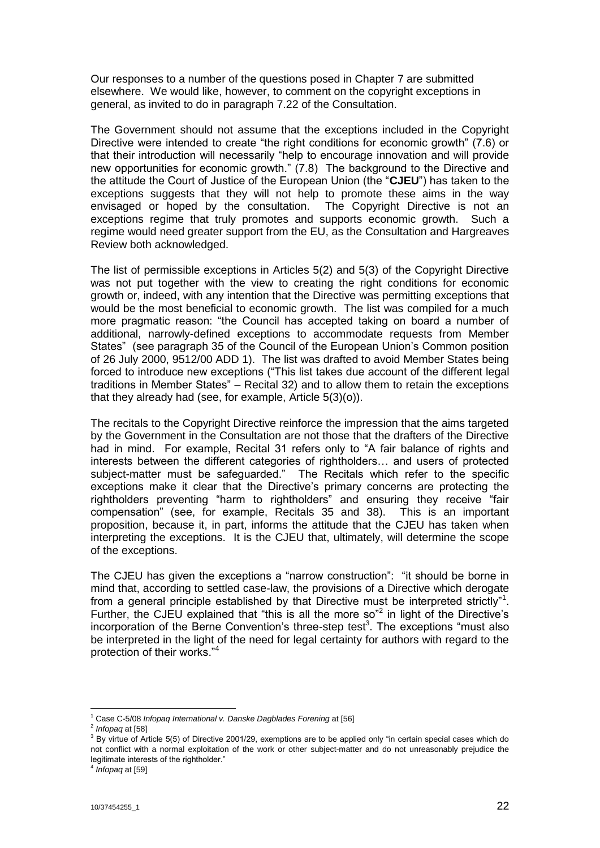Our responses to a number of the questions posed in Chapter 7 are submitted elsewhere. We would like, however, to comment on the copyright exceptions in general, as invited to do in paragraph 7.22 of the Consultation.

The Government should not assume that the exceptions included in the Copyright Directive were intended to create "the right conditions for economic growth" (7.6) or that their introduction will necessarily "help to encourage innovation and will provide new opportunities for economic growth." (7.8) The background to the Directive and the attitude the Court of Justice of the European Union (the "**CJEU**") has taken to the exceptions suggests that they will not help to promote these aims in the way envisaged or hoped by the consultation. The Copyright Directive is not an exceptions regime that truly promotes and supports economic growth. Such a regime would need greater support from the EU, as the Consultation and Hargreaves Review both acknowledged.

The list of permissible exceptions in Articles 5(2) and 5(3) of the Copyright Directive was not put together with the view to creating the right conditions for economic growth or, indeed, with any intention that the Directive was permitting exceptions that would be the most beneficial to economic growth. The list was compiled for a much more pragmatic reason: "the Council has accepted taking on board a number of additional, narrowly-defined exceptions to accommodate requests from Member States" (see paragraph 35 of the Council of the European Union's Common position of 26 July 2000, 9512/00 ADD 1). The list was drafted to avoid Member States being forced to introduce new exceptions ("This list takes due account of the different legal traditions in Member States" – Recital 32) and to allow them to retain the exceptions that they already had (see, for example, Article 5(3)(o)).

The recitals to the Copyright Directive reinforce the impression that the aims targeted by the Government in the Consultation are not those that the drafters of the Directive had in mind. For example, Recital 31 refers only to "A fair balance of rights and interests between the different categories of rightholders… and users of protected subject-matter must be safeguarded." The Recitals which refer to the specific exceptions make it clear that the Directive's primary concerns are protecting the rightholders preventing "harm to rightholders" and ensuring they receive "fair compensation" (see, for example, Recitals 35 and 38). This is an important proposition, because it, in part, informs the attitude that the CJEU has taken when interpreting the exceptions. It is the CJEU that, ultimately, will determine the scope of the exceptions.

The CJEU has given the exceptions a "narrow construction": "it should be borne in mind that, according to settled case-law, the provisions of a Directive which derogate from a general principle established by that Directive must be interpreted strictly"<sup>1</sup>. Further, the CJEU explained that "this is all the more so"<sup>2</sup> in light of the Directive's incorporation of the Berne Convention's three-step test<sup>3</sup>. The exceptions "must also be interpreted in the light of the need for legal certainty for authors with regard to the protection of their works."<sup>4</sup>

<sup>1</sup> <sup>1</sup> Case C-5/08 *Infopaq International v. Danske Dagblades Forening* at [56]

<sup>2</sup> *Infopaq* at [58]

<sup>&</sup>lt;sup>3</sup> By virtue of Article 5(5) of Directive 2001/29, exemptions are to be applied only "in certain special cases which do not conflict with a normal exploitation of the work or other subject-matter and do not unreasonably prejudice the legitimate interests of the rightholder."

<sup>4</sup> *Infopaq* at [59]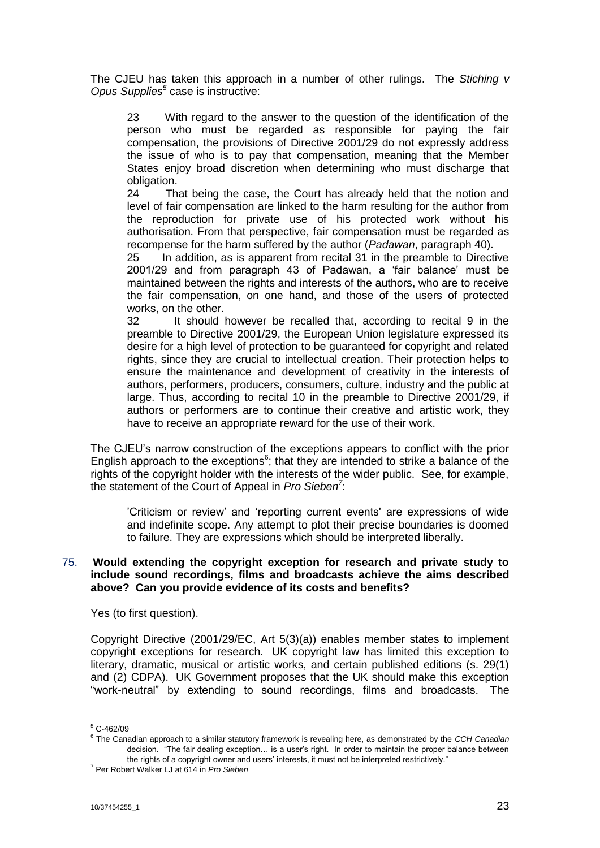The CJEU has taken this approach in a number of other rulings. The *Stiching v Opus Supplies<sup>5</sup>* case is instructive:

23 With regard to the answer to the question of the identification of the person who must be regarded as responsible for paying the fair compensation, the provisions of Directive 2001/29 do not expressly address the issue of who is to pay that compensation, meaning that the Member States enjoy broad discretion when determining who must discharge that obligation.

24 That being the case, the Court has already held that the notion and level of fair compensation are linked to the harm resulting for the author from the reproduction for private use of his protected work without his authorisation. From that perspective, fair compensation must be regarded as recompense for the harm suffered by the author (*Padawan*, paragraph 40).

25 In addition, as is apparent from recital 31 in the preamble to Directive 2001/29 and from paragraph 43 of Padawan, a 'fair balance' must be maintained between the rights and interests of the authors, who are to receive the fair compensation, on one hand, and those of the users of protected works, on the other.

32 It should however be recalled that, according to recital 9 in the preamble to Directive 2001/29, the European Union legislature expressed its desire for a high level of protection to be guaranteed for copyright and related rights, since they are crucial to intellectual creation. Their protection helps to ensure the maintenance and development of creativity in the interests of authors, performers, producers, consumers, culture, industry and the public at large. Thus, according to recital 10 in the preamble to Directive 2001/29, if authors or performers are to continue their creative and artistic work, they have to receive an appropriate reward for the use of their work.

The CJEU's narrow construction of the exceptions appears to conflict with the prior English approach to the exceptions<sup>6</sup>; that they are intended to strike a balance of the rights of the copyright holder with the interests of the wider public. See, for example, the statement of the Court of Appeal in *Pro Sieben<sup>7</sup>* :

'Criticism or review' and 'reporting current events' are expressions of wide and indefinite scope. Any attempt to plot their precise boundaries is doomed to failure. They are expressions which should be interpreted liberally.

#### 75. **Would extending the copyright exception for research and private study to include sound recordings, films and broadcasts achieve the aims described above? Can you provide evidence of its costs and benefits?**

Yes (to first question).

Copyright Directive (2001/29/EC, Art 5(3)(a)) enables member states to implement copyright exceptions for research. UK copyright law has limited this exception to literary, dramatic, musical or artistic works, and certain published editions (s. 29(1) and (2) CDPA). UK Government proposes that the UK should make this exception "work-neutral" by extending to sound recordings, films and broadcasts. The

1

 $5$  C-462/09

<sup>6</sup> The Canadian approach to a similar statutory framework is revealing here, as demonstrated by the *CCH Canadian*  decision. "The fair dealing exception… is a user's right. In order to maintain the proper balance between the rights of a copyright owner and users' interests, it must not be interpreted restrictively."

<sup>7</sup> Per Robert Walker LJ at 614 in *Pro Sieben*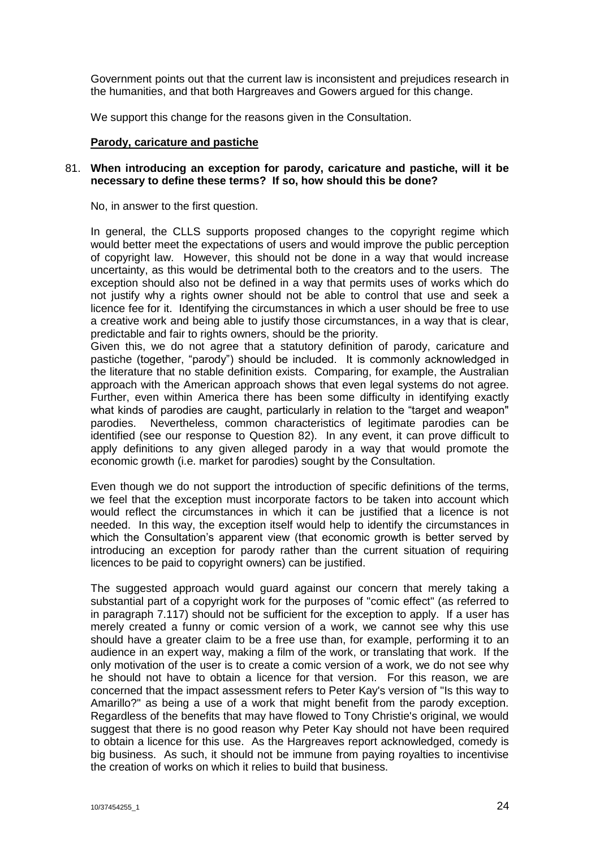Government points out that the current law is inconsistent and prejudices research in the humanities, and that both Hargreaves and Gowers argued for this change.

We support this change for the reasons given in the Consultation.

#### **Parody, caricature and pastiche**

#### 81. **When introducing an exception for parody, caricature and pastiche, will it be necessary to define these terms? If so, how should this be done?**

No, in answer to the first question.

In general, the CLLS supports proposed changes to the copyright regime which would better meet the expectations of users and would improve the public perception of copyright law. However, this should not be done in a way that would increase uncertainty, as this would be detrimental both to the creators and to the users. The exception should also not be defined in a way that permits uses of works which do not justify why a rights owner should not be able to control that use and seek a licence fee for it. Identifying the circumstances in which a user should be free to use a creative work and being able to justify those circumstances, in a way that is clear, predictable and fair to rights owners, should be the priority.

Given this, we do not agree that a statutory definition of parody, caricature and pastiche (together, "parody") should be included. It is commonly acknowledged in the literature that no stable definition exists. Comparing, for example, the Australian approach with the American approach shows that even legal systems do not agree. Further, even within America there has been some difficulty in identifying exactly what kinds of parodies are caught, particularly in relation to the "target and weapon" parodies. Nevertheless, common characteristics of legitimate parodies can be identified (see our response to Question 82). In any event, it can prove difficult to apply definitions to any given alleged parody in a way that would promote the economic growth (i.e. market for parodies) sought by the Consultation.

Even though we do not support the introduction of specific definitions of the terms, we feel that the exception must incorporate factors to be taken into account which would reflect the circumstances in which it can be justified that a licence is not needed. In this way, the exception itself would help to identify the circumstances in which the Consultation's apparent view (that economic growth is better served by introducing an exception for parody rather than the current situation of requiring licences to be paid to copyright owners) can be justified.

The suggested approach would guard against our concern that merely taking a substantial part of a copyright work for the purposes of "comic effect" (as referred to in paragraph 7.117) should not be sufficient for the exception to apply. If a user has merely created a funny or comic version of a work, we cannot see why this use should have a greater claim to be a free use than, for example, performing it to an audience in an expert way, making a film of the work, or translating that work. If the only motivation of the user is to create a comic version of a work, we do not see why he should not have to obtain a licence for that version. For this reason, we are concerned that the impact assessment refers to Peter Kay's version of "Is this way to Amarillo?" as being a use of a work that might benefit from the parody exception. Regardless of the benefits that may have flowed to Tony Christie's original, we would suggest that there is no good reason why Peter Kay should not have been required to obtain a licence for this use. As the Hargreaves report acknowledged, comedy is big business. As such, it should not be immune from paying royalties to incentivise the creation of works on which it relies to build that business.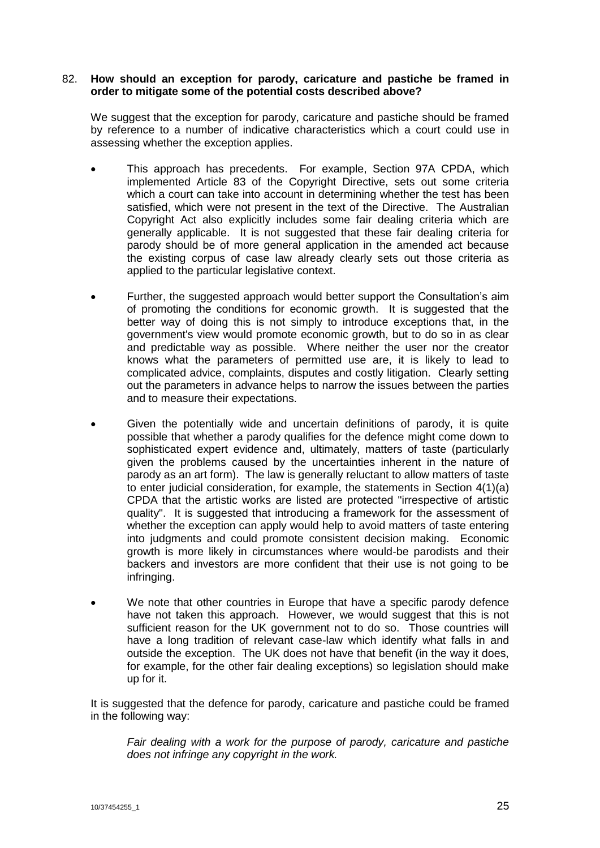#### 82. **How should an exception for parody, caricature and pastiche be framed in order to mitigate some of the potential costs described above?**

We suggest that the exception for parody, caricature and pastiche should be framed by reference to a number of indicative characteristics which a court could use in assessing whether the exception applies.

- This approach has precedents. For example, Section 97A CPDA, which implemented Article 83 of the Copyright Directive, sets out some criteria which a court can take into account in determining whether the test has been satisfied, which were not present in the text of the Directive. The Australian Copyright Act also explicitly includes some fair dealing criteria which are generally applicable. It is not suggested that these fair dealing criteria for parody should be of more general application in the amended act because the existing corpus of case law already clearly sets out those criteria as applied to the particular legislative context.
- Further, the suggested approach would better support the Consultation's aim of promoting the conditions for economic growth. It is suggested that the better way of doing this is not simply to introduce exceptions that, in the government's view would promote economic growth, but to do so in as clear and predictable way as possible. Where neither the user nor the creator knows what the parameters of permitted use are, it is likely to lead to complicated advice, complaints, disputes and costly litigation. Clearly setting out the parameters in advance helps to narrow the issues between the parties and to measure their expectations.
- Given the potentially wide and uncertain definitions of parody, it is quite possible that whether a parody qualifies for the defence might come down to sophisticated expert evidence and, ultimately, matters of taste (particularly given the problems caused by the uncertainties inherent in the nature of parody as an art form). The law is generally reluctant to allow matters of taste to enter judicial consideration, for example, the statements in Section 4(1)(a) CPDA that the artistic works are listed are protected "irrespective of artistic quality". It is suggested that introducing a framework for the assessment of whether the exception can apply would help to avoid matters of taste entering into judgments and could promote consistent decision making. Economic growth is more likely in circumstances where would-be parodists and their backers and investors are more confident that their use is not going to be infringing.
- We note that other countries in Europe that have a specific parody defence have not taken this approach. However, we would suggest that this is not sufficient reason for the UK government not to do so. Those countries will have a long tradition of relevant case-law which identify what falls in and outside the exception. The UK does not have that benefit (in the way it does, for example, for the other fair dealing exceptions) so legislation should make up for it.

It is suggested that the defence for parody, caricature and pastiche could be framed in the following way:

*Fair dealing with a work for the purpose of parody, caricature and pastiche does not infringe any copyright in the work.*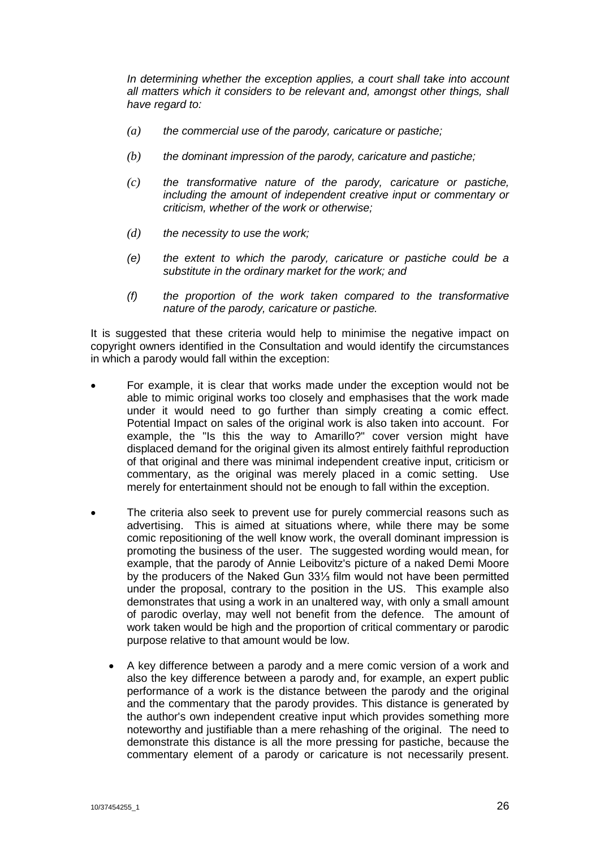*In determining whether the exception applies, a court shall take into account all matters which it considers to be relevant and, amongst other things, shall have regard to:* 

- *(a) the commercial use of the parody, caricature or pastiche;*
- *(b) the dominant impression of the parody, caricature and pastiche;*
- *(c) the transformative nature of the parody, caricature or pastiche, including the amount of independent creative input or commentary or criticism, whether of the work or otherwise;*
- *(d) the necessity to use the work;*
- *(e) the extent to which the parody, caricature or pastiche could be a substitute in the ordinary market for the work; and*
- *(f) the proportion of the work taken compared to the transformative nature of the parody, caricature or pastiche.*

It is suggested that these criteria would help to minimise the negative impact on copyright owners identified in the Consultation and would identify the circumstances in which a parody would fall within the exception:

- For example, it is clear that works made under the exception would not be able to mimic original works too closely and emphasises that the work made under it would need to go further than simply creating a comic effect. Potential Impact on sales of the original work is also taken into account. For example, the "Is this the way to Amarillo?" cover version might have displaced demand for the original given its almost entirely faithful reproduction of that original and there was minimal independent creative input, criticism or commentary, as the original was merely placed in a comic setting. Use merely for entertainment should not be enough to fall within the exception.
- The criteria also seek to prevent use for purely commercial reasons such as advertising. This is aimed at situations where, while there may be some comic repositioning of the well know work, the overall dominant impression is promoting the business of the user. The suggested wording would mean, for example, that the parody of Annie Leibovitz's picture of a naked Demi Moore by the producers of the Naked Gun 33⅓ film would not have been permitted under the proposal, contrary to the position in the US. This example also demonstrates that using a work in an unaltered way, with only a small amount of parodic overlay, may well not benefit from the defence. The amount of work taken would be high and the proportion of critical commentary or parodic purpose relative to that amount would be low.
	- A key difference between a parody and a mere comic version of a work and also the key difference between a parody and, for example, an expert public performance of a work is the distance between the parody and the original and the commentary that the parody provides. This distance is generated by the author's own independent creative input which provides something more noteworthy and justifiable than a mere rehashing of the original. The need to demonstrate this distance is all the more pressing for pastiche, because the commentary element of a parody or caricature is not necessarily present.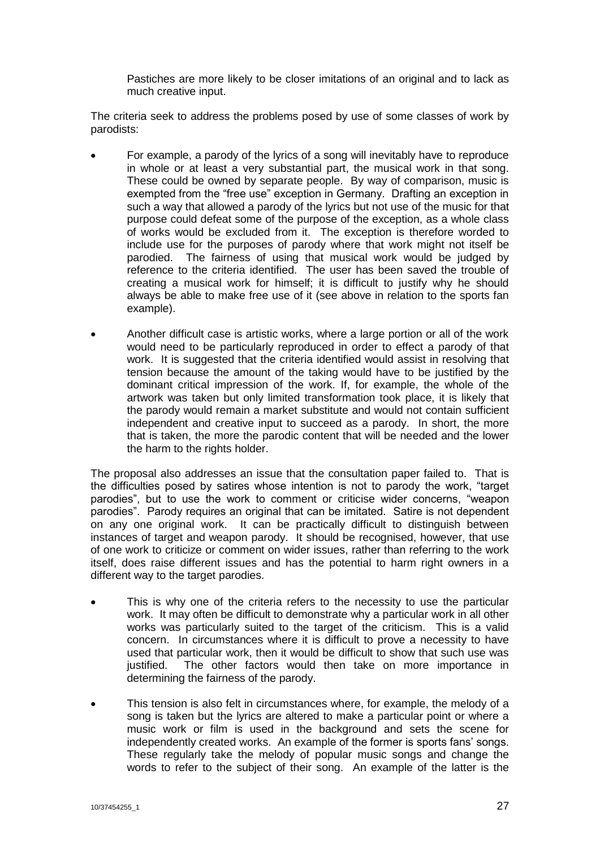Pastiches are more likely to be closer imitations of an original and to lack as much creative input.

The criteria seek to address the problems posed by use of some classes of work by parodists:

- For example, a parody of the lyrics of a song will inevitably have to reproduce in whole or at least a very substantial part, the musical work in that song. These could be owned by separate people. By way of comparison, music is exempted from the "free use" exception in Germany. Drafting an exception in such a way that allowed a parody of the lyrics but not use of the music for that purpose could defeat some of the purpose of the exception, as a whole class of works would be excluded from it. The exception is therefore worded to include use for the purposes of parody where that work might not itself be parodied. The fairness of using that musical work would be judged by reference to the criteria identified. The user has been saved the trouble of creating a musical work for himself; it is difficult to justify why he should always be able to make free use of it (see above in relation to the sports fan example).
- Another difficult case is artistic works, where a large portion or all of the work would need to be particularly reproduced in order to effect a parody of that work. It is suggested that the criteria identified would assist in resolving that tension because the amount of the taking would have to be justified by the dominant critical impression of the work. If, for example, the whole of the artwork was taken but only limited transformation took place, it is likely that the parody would remain a market substitute and would not contain sufficient independent and creative input to succeed as a parody. In short, the more that is taken, the more the parodic content that will be needed and the lower the harm to the rights holder.

The proposal also addresses an issue that the consultation paper failed to. That is the difficulties posed by satires whose intention is not to parody the work, "target parodies", but to use the work to comment or criticise wider concerns, "weapon parodies". Parody requires an original that can be imitated. Satire is not dependent on any one original work. It can be practically difficult to distinguish between instances of target and weapon parody. It should be recognised, however, that use of one work to criticize or comment on wider issues, rather than referring to the work itself, does raise different issues and has the potential to harm right owners in a different way to the target parodies.

- This is why one of the criteria refers to the necessity to use the particular work. It may often be difficult to demonstrate why a particular work in all other works was particularly suited to the target of the criticism. This is a valid concern. In circumstances where it is difficult to prove a necessity to have used that particular work, then it would be difficult to show that such use was justified. The other factors would then take on more importance in determining the fairness of the parody.
- This tension is also felt in circumstances where, for example, the melody of a song is taken but the lyrics are altered to make a particular point or where a music work or film is used in the background and sets the scene for independently created works. An example of the former is sports fans' songs. These regularly take the melody of popular music songs and change the words to refer to the subject of their song. An example of the latter is the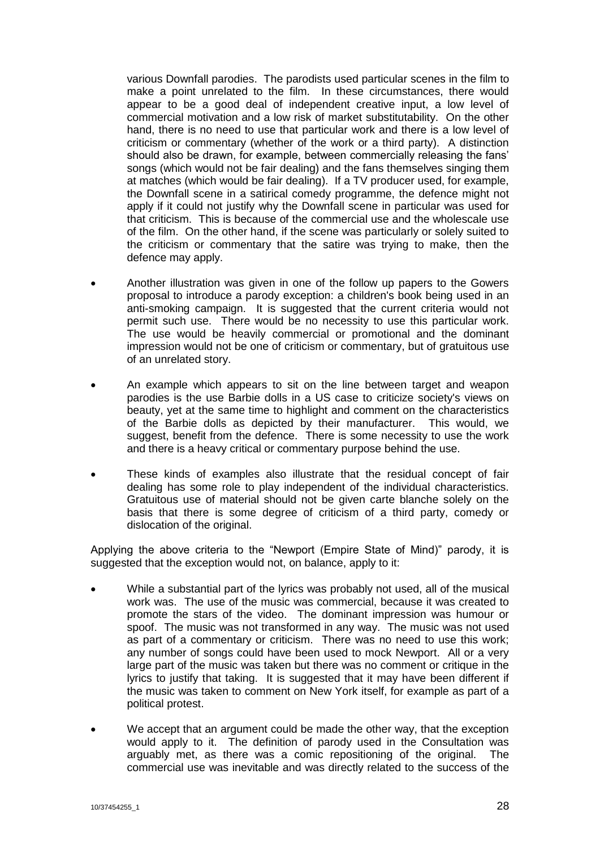various Downfall parodies. The parodists used particular scenes in the film to make a point unrelated to the film. In these circumstances, there would appear to be a good deal of independent creative input, a low level of commercial motivation and a low risk of market substitutability. On the other hand, there is no need to use that particular work and there is a low level of criticism or commentary (whether of the work or a third party). A distinction should also be drawn, for example, between commercially releasing the fans' songs (which would not be fair dealing) and the fans themselves singing them at matches (which would be fair dealing). If a TV producer used, for example, the Downfall scene in a satirical comedy programme, the defence might not apply if it could not justify why the Downfall scene in particular was used for that criticism. This is because of the commercial use and the wholescale use of the film. On the other hand, if the scene was particularly or solely suited to the criticism or commentary that the satire was trying to make, then the defence may apply.

- Another illustration was given in one of the follow up papers to the Gowers proposal to introduce a parody exception: a children's book being used in an anti-smoking campaign. It is suggested that the current criteria would not permit such use. There would be no necessity to use this particular work. The use would be heavily commercial or promotional and the dominant impression would not be one of criticism or commentary, but of gratuitous use of an unrelated story.
- An example which appears to sit on the line between target and weapon parodies is the use Barbie dolls in a US case to criticize society's views on beauty, yet at the same time to highlight and comment on the characteristics of the Barbie dolls as depicted by their manufacturer. This would, we suggest, benefit from the defence. There is some necessity to use the work and there is a heavy critical or commentary purpose behind the use.
- These kinds of examples also illustrate that the residual concept of fair dealing has some role to play independent of the individual characteristics. Gratuitous use of material should not be given carte blanche solely on the basis that there is some degree of criticism of a third party, comedy or dislocation of the original.

Applying the above criteria to the "Newport (Empire State of Mind)" parody, it is suggested that the exception would not, on balance, apply to it:

- While a substantial part of the lyrics was probably not used, all of the musical work was. The use of the music was commercial, because it was created to promote the stars of the video. The dominant impression was humour or spoof. The music was not transformed in any way. The music was not used as part of a commentary or criticism. There was no need to use this work; any number of songs could have been used to mock Newport. All or a very large part of the music was taken but there was no comment or critique in the lyrics to justify that taking. It is suggested that it may have been different if the music was taken to comment on New York itself, for example as part of a political protest.
- We accept that an argument could be made the other way, that the exception would apply to it. The definition of parody used in the Consultation was arguably met, as there was a comic repositioning of the original. The commercial use was inevitable and was directly related to the success of the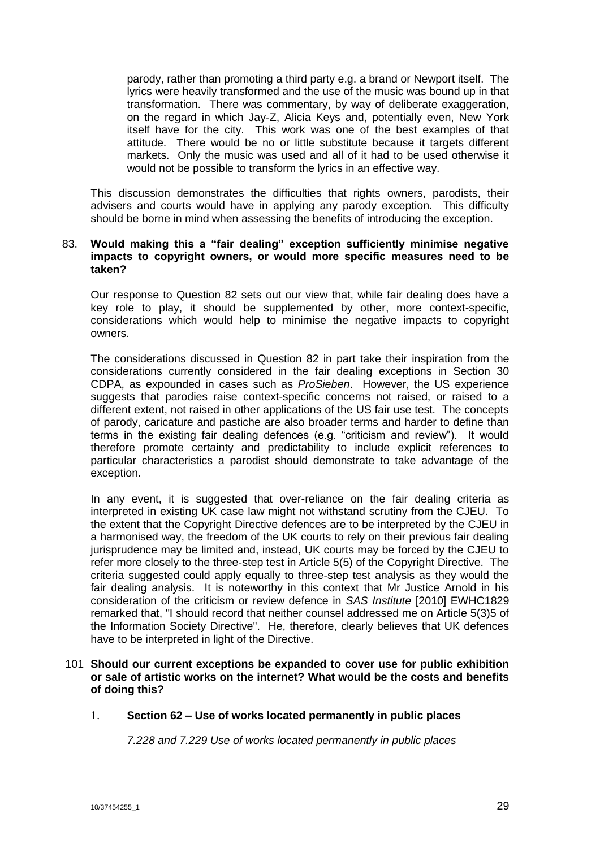parody, rather than promoting a third party e.g. a brand or Newport itself. The lyrics were heavily transformed and the use of the music was bound up in that transformation. There was commentary, by way of deliberate exaggeration, on the regard in which Jay-Z, Alicia Keys and, potentially even, New York itself have for the city. This work was one of the best examples of that attitude. There would be no or little substitute because it targets different markets. Only the music was used and all of it had to be used otherwise it would not be possible to transform the lyrics in an effective way.

This discussion demonstrates the difficulties that rights owners, parodists, their advisers and courts would have in applying any parody exception. This difficulty should be borne in mind when assessing the benefits of introducing the exception.

#### 83. **Would making this a "fair dealing" exception sufficiently minimise negative impacts to copyright owners, or would more specific measures need to be taken?**

Our response to Question 82 sets out our view that, while fair dealing does have a key role to play, it should be supplemented by other, more context-specific, considerations which would help to minimise the negative impacts to copyright owners.

The considerations discussed in Question 82 in part take their inspiration from the considerations currently considered in the fair dealing exceptions in Section 30 CDPA, as expounded in cases such as *ProSieben*. However, the US experience suggests that parodies raise context-specific concerns not raised, or raised to a different extent, not raised in other applications of the US fair use test. The concepts of parody, caricature and pastiche are also broader terms and harder to define than terms in the existing fair dealing defences (e.g. "criticism and review"). It would therefore promote certainty and predictability to include explicit references to particular characteristics a parodist should demonstrate to take advantage of the exception.

In any event, it is suggested that over-reliance on the fair dealing criteria as interpreted in existing UK case law might not withstand scrutiny from the CJEU. To the extent that the Copyright Directive defences are to be interpreted by the CJEU in a harmonised way, the freedom of the UK courts to rely on their previous fair dealing jurisprudence may be limited and, instead, UK courts may be forced by the CJEU to refer more closely to the three-step test in Article 5(5) of the Copyright Directive. The criteria suggested could apply equally to three-step test analysis as they would the fair dealing analysis. It is noteworthy in this context that Mr Justice Arnold in his consideration of the criticism or review defence in *SAS Institute* [2010] EWHC1829 remarked that, "I should record that neither counsel addressed me on Article 5(3)5 of the Information Society Directive". He, therefore, clearly believes that UK defences have to be interpreted in light of the Directive.

## 101 **Should our current exceptions be expanded to cover use for public exhibition or sale of artistic works on the internet? What would be the costs and benefits of doing this?**

#### 1. **Section 62 – Use of works located permanently in public places**

*7.228 and 7.229 Use of works located permanently in public places*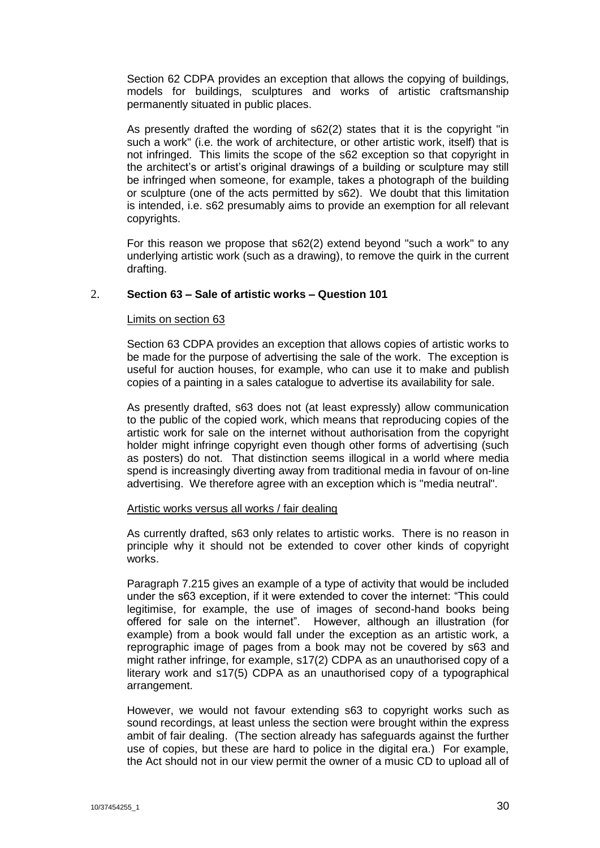Section 62 CDPA provides an exception that allows the copying of buildings, models for buildings, sculptures and works of artistic craftsmanship permanently situated in public places.

As presently drafted the wording of s62(2) states that it is the copyright "in such a work" (i.e. the work of architecture, or other artistic work, itself) that is not infringed. This limits the scope of the s62 exception so that copyright in the architect's or artist's original drawings of a building or sculpture may still be infringed when someone, for example, takes a photograph of the building or sculpture (one of the acts permitted by s62). We doubt that this limitation is intended, i.e. s62 presumably aims to provide an exemption for all relevant copyrights.

For this reason we propose that s62(2) extend beyond "such a work" to any underlying artistic work (such as a drawing), to remove the quirk in the current drafting.

# 2. **Section 63 – Sale of artistic works – Question 101**

#### Limits on section 63

Section 63 CDPA provides an exception that allows copies of artistic works to be made for the purpose of advertising the sale of the work. The exception is useful for auction houses, for example, who can use it to make and publish copies of a painting in a sales catalogue to advertise its availability for sale.

As presently drafted, s63 does not (at least expressly) allow communication to the public of the copied work, which means that reproducing copies of the artistic work for sale on the internet without authorisation from the copyright holder might infringe copyright even though other forms of advertising (such as posters) do not. That distinction seems illogical in a world where media spend is increasingly diverting away from traditional media in favour of on-line advertising. We therefore agree with an exception which is "media neutral".

#### Artistic works versus all works / fair dealing

As currently drafted, s63 only relates to artistic works. There is no reason in principle why it should not be extended to cover other kinds of copyright works.

Paragraph 7.215 gives an example of a type of activity that would be included under the s63 exception, if it were extended to cover the internet: "This could legitimise, for example, the use of images of second-hand books being offered for sale on the internet". However, although an illustration (for example) from a book would fall under the exception as an artistic work, a reprographic image of pages from a book may not be covered by s63 and might rather infringe, for example, s17(2) CDPA as an unauthorised copy of a literary work and s17(5) CDPA as an unauthorised copy of a typographical arrangement.

However, we would not favour extending s63 to copyright works such as sound recordings, at least unless the section were brought within the express ambit of fair dealing. (The section already has safeguards against the further use of copies, but these are hard to police in the digital era.) For example, the Act should not in our view permit the owner of a music CD to upload all of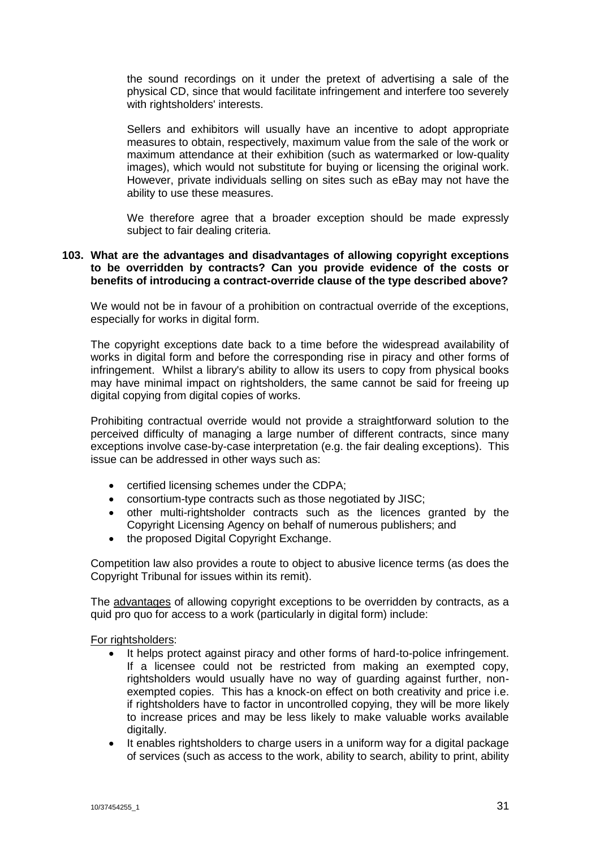the sound recordings on it under the pretext of advertising a sale of the physical CD, since that would facilitate infringement and interfere too severely with rightsholders' interests.

Sellers and exhibitors will usually have an incentive to adopt appropriate measures to obtain, respectively, maximum value from the sale of the work or maximum attendance at their exhibition (such as watermarked or low-quality images), which would not substitute for buying or licensing the original work. However, private individuals selling on sites such as eBay may not have the ability to use these measures.

We therefore agree that a broader exception should be made expressly subject to fair dealing criteria.

## **103. What are the advantages and disadvantages of allowing copyright exceptions to be overridden by contracts? Can you provide evidence of the costs or benefits of introducing a contract-override clause of the type described above?**

We would not be in favour of a prohibition on contractual override of the exceptions, especially for works in digital form.

The copyright exceptions date back to a time before the widespread availability of works in digital form and before the corresponding rise in piracy and other forms of infringement. Whilst a library's ability to allow its users to copy from physical books may have minimal impact on rightsholders, the same cannot be said for freeing up digital copying from digital copies of works.

Prohibiting contractual override would not provide a straightforward solution to the perceived difficulty of managing a large number of different contracts, since many exceptions involve case-by-case interpretation (e.g. the fair dealing exceptions). This issue can be addressed in other ways such as:

- certified licensing schemes under the CDPA;
- consortium-type contracts such as those negotiated by JISC;
- other multi-rightsholder contracts such as the licences granted by the Copyright Licensing Agency on behalf of numerous publishers; and
- the proposed Digital Copyright Exchange.

Competition law also provides a route to object to abusive licence terms (as does the Copyright Tribunal for issues within its remit).

The advantages of allowing copyright exceptions to be overridden by contracts, as a quid pro quo for access to a work (particularly in digital form) include:

For rightsholders:

- It helps protect against piracy and other forms of hard-to-police infringement. If a licensee could not be restricted from making an exempted copy, rightsholders would usually have no way of guarding against further, nonexempted copies. This has a knock-on effect on both creativity and price i.e. if rightsholders have to factor in uncontrolled copying, they will be more likely to increase prices and may be less likely to make valuable works available digitally.
- It enables rightsholders to charge users in a uniform way for a digital package of services (such as access to the work, ability to search, ability to print, ability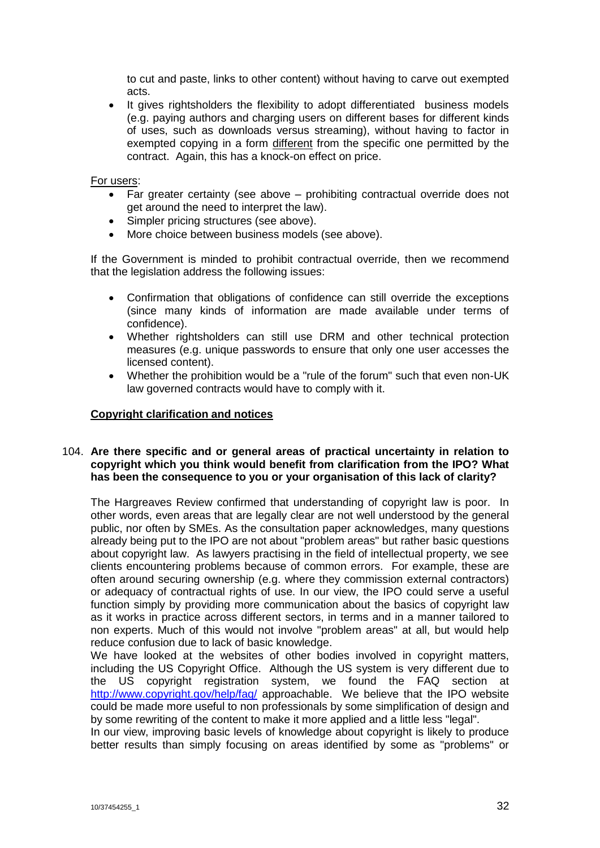to cut and paste, links to other content) without having to carve out exempted acts.

 It gives rightsholders the flexibility to adopt differentiated business models (e.g. paying authors and charging users on different bases for different kinds of uses, such as downloads versus streaming), without having to factor in exempted copying in a form different from the specific one permitted by the contract. Again, this has a knock-on effect on price.

#### For users:

- Far greater certainty (see above prohibiting contractual override does not get around the need to interpret the law).
- Simpler pricing structures (see above).
- More choice between business models (see above).

If the Government is minded to prohibit contractual override, then we recommend that the legislation address the following issues:

- Confirmation that obligations of confidence can still override the exceptions (since many kinds of information are made available under terms of confidence).
- Whether rightsholders can still use DRM and other technical protection measures (e.g. unique passwords to ensure that only one user accesses the licensed content).
- Whether the prohibition would be a "rule of the forum" such that even non-UK law governed contracts would have to comply with it.

# **Copyright clarification and notices**

## 104. **Are there specific and or general areas of practical uncertainty in relation to copyright which you think would benefit from clarification from the IPO? What has been the consequence to you or your organisation of this lack of clarity?**

The Hargreaves Review confirmed that understanding of copyright law is poor. In other words, even areas that are legally clear are not well understood by the general public, nor often by SMEs. As the consultation paper acknowledges, many questions already being put to the IPO are not about "problem areas" but rather basic questions about copyright law. As lawyers practising in the field of intellectual property, we see clients encountering problems because of common errors. For example, these are often around securing ownership (e.g. where they commission external contractors) or adequacy of contractual rights of use. In our view, the IPO could serve a useful function simply by providing more communication about the basics of copyright law as it works in practice across different sectors, in terms and in a manner tailored to non experts. Much of this would not involve "problem areas" at all, but would help reduce confusion due to lack of basic knowledge.

We have looked at the websites of other bodies involved in copyright matters, including the US Copyright Office. Although the US system is very different due to the US copyright registration system, we found the FAQ section at <http://www.copyright.gov/help/faq/> approachable. We believe that the IPO website could be made more useful to non professionals by some simplification of design and by some rewriting of the content to make it more applied and a little less "legal".

In our view, improving basic levels of knowledge about copyright is likely to produce better results than simply focusing on areas identified by some as "problems" or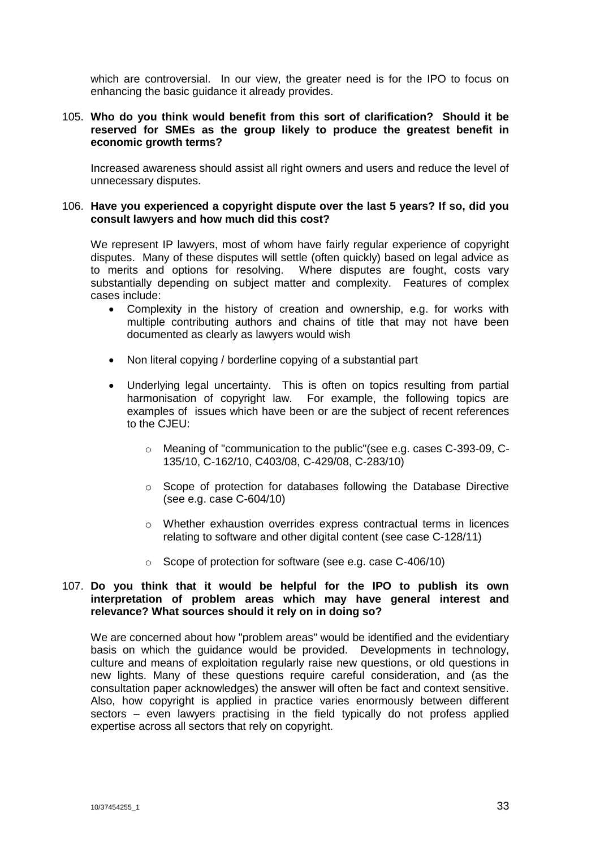which are controversial. In our view, the greater need is for the IPO to focus on enhancing the basic guidance it already provides.

# 105. **Who do you think would benefit from this sort of clarification? Should it be reserved for SMEs as the group likely to produce the greatest benefit in economic growth terms?**

Increased awareness should assist all right owners and users and reduce the level of unnecessary disputes.

#### 106. **Have you experienced a copyright dispute over the last 5 years? If so, did you consult lawyers and how much did this cost?**

We represent IP lawyers, most of whom have fairly regular experience of copyright disputes. Many of these disputes will settle (often quickly) based on legal advice as to merits and options for resolving. Where disputes are fought, costs vary substantially depending on subject matter and complexity. Features of complex cases include:

- Complexity in the history of creation and ownership, e.g. for works with multiple contributing authors and chains of title that may not have been documented as clearly as lawyers would wish
- Non literal copying / borderline copying of a substantial part
- Underlying legal uncertainty. This is often on topics resulting from partial harmonisation of copyright law. For example, the following topics are examples of issues which have been or are the subject of recent references to the CJEU:
	- o Meaning of "communication to the public"(see e.g. cases C-393-09, C-135/10, C-162/10, C403/08, C-429/08, C-283/10)
	- $\circ$  Scope of protection for databases following the Database Directive (see e.g. case C-604/10)
	- o Whether exhaustion overrides express contractual terms in licences relating to software and other digital content (see case C-128/11)
	- o Scope of protection for software (see e.g. case C-406/10)

#### 107. **Do you think that it would be helpful for the IPO to publish its own interpretation of problem areas which may have general interest and relevance? What sources should it rely on in doing so?**

We are concerned about how "problem areas" would be identified and the evidentiary basis on which the guidance would be provided. Developments in technology, culture and means of exploitation regularly raise new questions, or old questions in new lights. Many of these questions require careful consideration, and (as the consultation paper acknowledges) the answer will often be fact and context sensitive. Also, how copyright is applied in practice varies enormously between different sectors – even lawyers practising in the field typically do not profess applied expertise across all sectors that rely on copyright.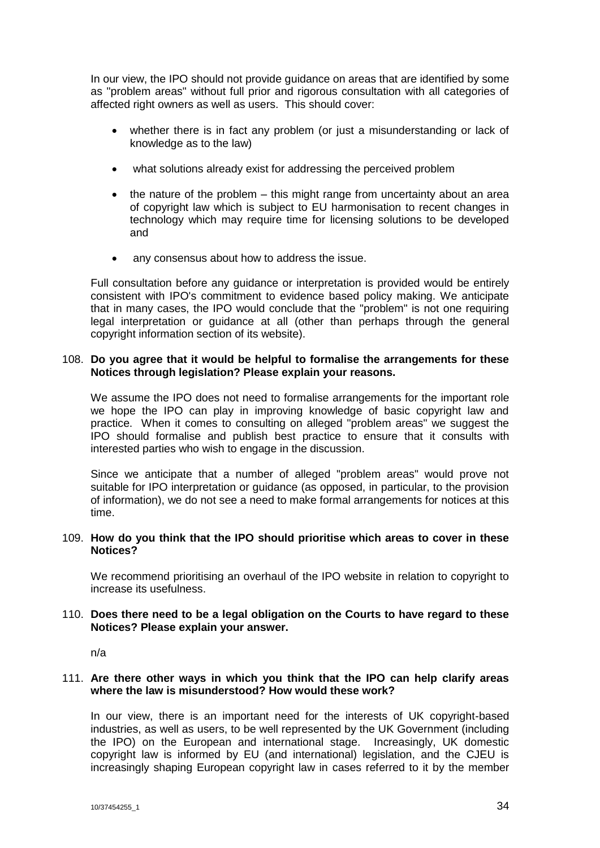In our view, the IPO should not provide guidance on areas that are identified by some as "problem areas" without full prior and rigorous consultation with all categories of affected right owners as well as users. This should cover:

- whether there is in fact any problem (or just a misunderstanding or lack of knowledge as to the law)
- what solutions already exist for addressing the perceived problem
- $\bullet$  the nature of the problem this might range from uncertainty about an area of copyright law which is subject to EU harmonisation to recent changes in technology which may require time for licensing solutions to be developed and
- any consensus about how to address the issue.

Full consultation before any guidance or interpretation is provided would be entirely consistent with IPO's commitment to evidence based policy making. We anticipate that in many cases, the IPO would conclude that the "problem" is not one requiring legal interpretation or guidance at all (other than perhaps through the general copyright information section of its website).

#### 108. **Do you agree that it would be helpful to formalise the arrangements for these Notices through legislation? Please explain your reasons.**

We assume the IPO does not need to formalise arrangements for the important role we hope the IPO can play in improving knowledge of basic copyright law and practice. When it comes to consulting on alleged "problem areas" we suggest the IPO should formalise and publish best practice to ensure that it consults with interested parties who wish to engage in the discussion.

Since we anticipate that a number of alleged "problem areas" would prove not suitable for IPO interpretation or guidance (as opposed, in particular, to the provision of information), we do not see a need to make formal arrangements for notices at this time.

#### 109. **How do you think that the IPO should prioritise which areas to cover in these Notices?**

We recommend prioritising an overhaul of the IPO website in relation to copyright to increase its usefulness.

#### 110. **Does there need to be a legal obligation on the Courts to have regard to these Notices? Please explain your answer.**

n/a

# 111. **Are there other ways in which you think that the IPO can help clarify areas where the law is misunderstood? How would these work?**

In our view, there is an important need for the interests of UK copyright-based industries, as well as users, to be well represented by the UK Government (including the IPO) on the European and international stage. Increasingly, UK domestic copyright law is informed by EU (and international) legislation, and the CJEU is increasingly shaping European copyright law in cases referred to it by the member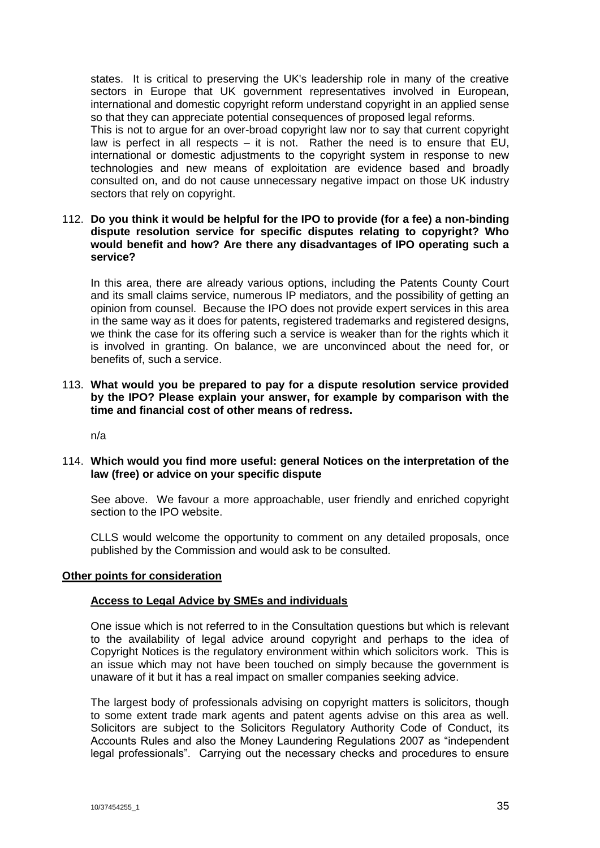states. It is critical to preserving the UK's leadership role in many of the creative sectors in Europe that UK government representatives involved in European, international and domestic copyright reform understand copyright in an applied sense so that they can appreciate potential consequences of proposed legal reforms.

This is not to argue for an over-broad copyright law nor to say that current copyright law is perfect in all respects – it is not. Rather the need is to ensure that EU, international or domestic adjustments to the copyright system in response to new technologies and new means of exploitation are evidence based and broadly consulted on, and do not cause unnecessary negative impact on those UK industry sectors that rely on copyright.

#### 112. **Do you think it would be helpful for the IPO to provide (for a fee) a non-binding dispute resolution service for specific disputes relating to copyright? Who would benefit and how? Are there any disadvantages of IPO operating such a service?**

In this area, there are already various options, including the Patents County Court and its small claims service, numerous IP mediators, and the possibility of getting an opinion from counsel. Because the IPO does not provide expert services in this area in the same way as it does for patents, registered trademarks and registered designs, we think the case for its offering such a service is weaker than for the rights which it is involved in granting. On balance, we are unconvinced about the need for, or benefits of, such a service.

## 113. **What would you be prepared to pay for a dispute resolution service provided by the IPO? Please explain your answer, for example by comparison with the time and financial cost of other means of redress.**

n/a

# 114. **Which would you find more useful: general Notices on the interpretation of the law (free) or advice on your specific dispute**

See above. We favour a more approachable, user friendly and enriched copyright section to the IPO website.

CLLS would welcome the opportunity to comment on any detailed proposals, once published by the Commission and would ask to be consulted.

#### **Other points for consideration**

#### **Access to Legal Advice by SMEs and individuals**

One issue which is not referred to in the Consultation questions but which is relevant to the availability of legal advice around copyright and perhaps to the idea of Copyright Notices is the regulatory environment within which solicitors work. This is an issue which may not have been touched on simply because the government is unaware of it but it has a real impact on smaller companies seeking advice.

The largest body of professionals advising on copyright matters is solicitors, though to some extent trade mark agents and patent agents advise on this area as well. Solicitors are subject to the Solicitors Regulatory Authority Code of Conduct, its Accounts Rules and also the Money Laundering Regulations 2007 as "independent legal professionals". Carrying out the necessary checks and procedures to ensure